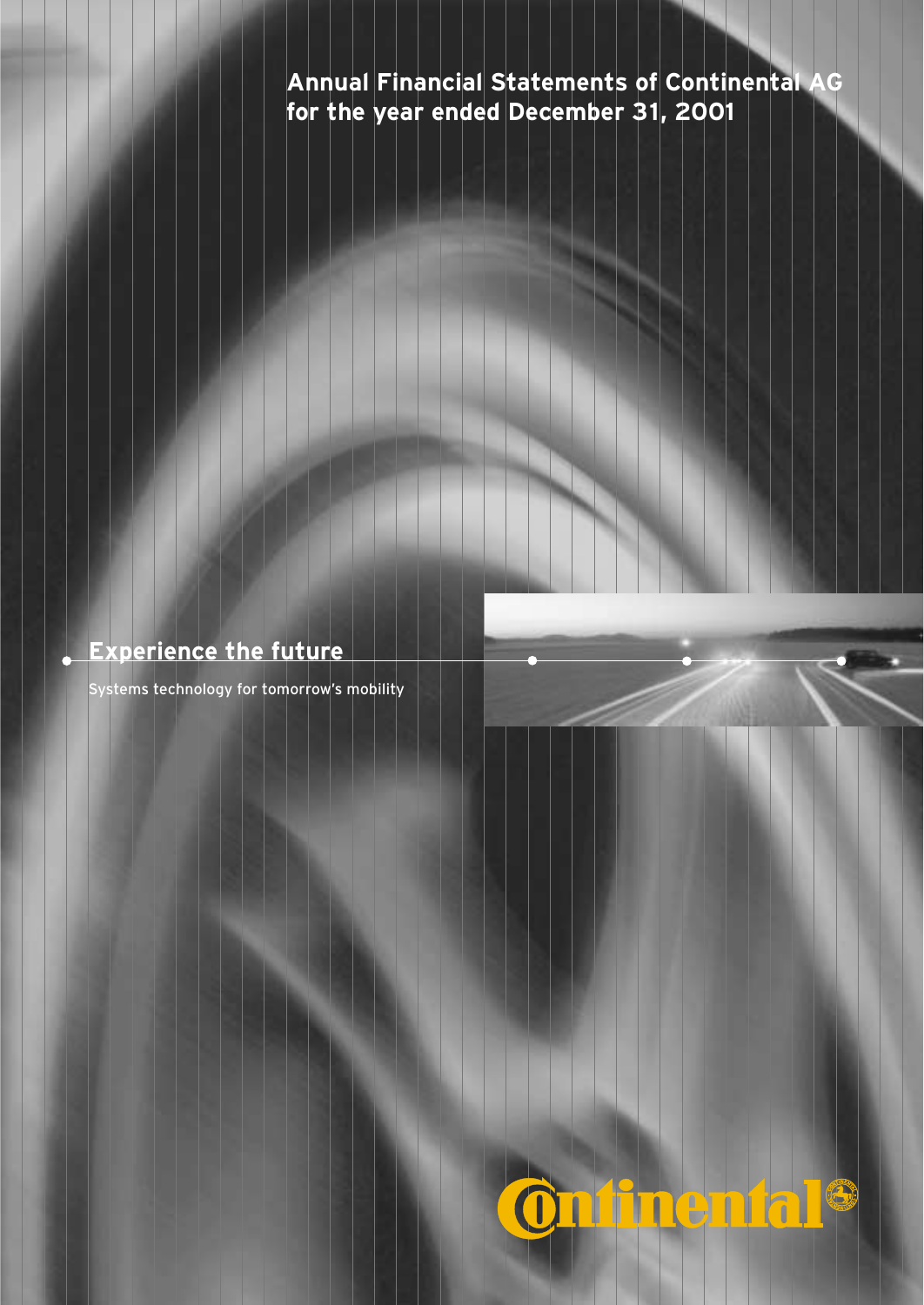## **Annual Financial Statements of Continental AG for the year ended December 31, 2001**

## **Experience the future**

Systems technology for tomorrow's mobility

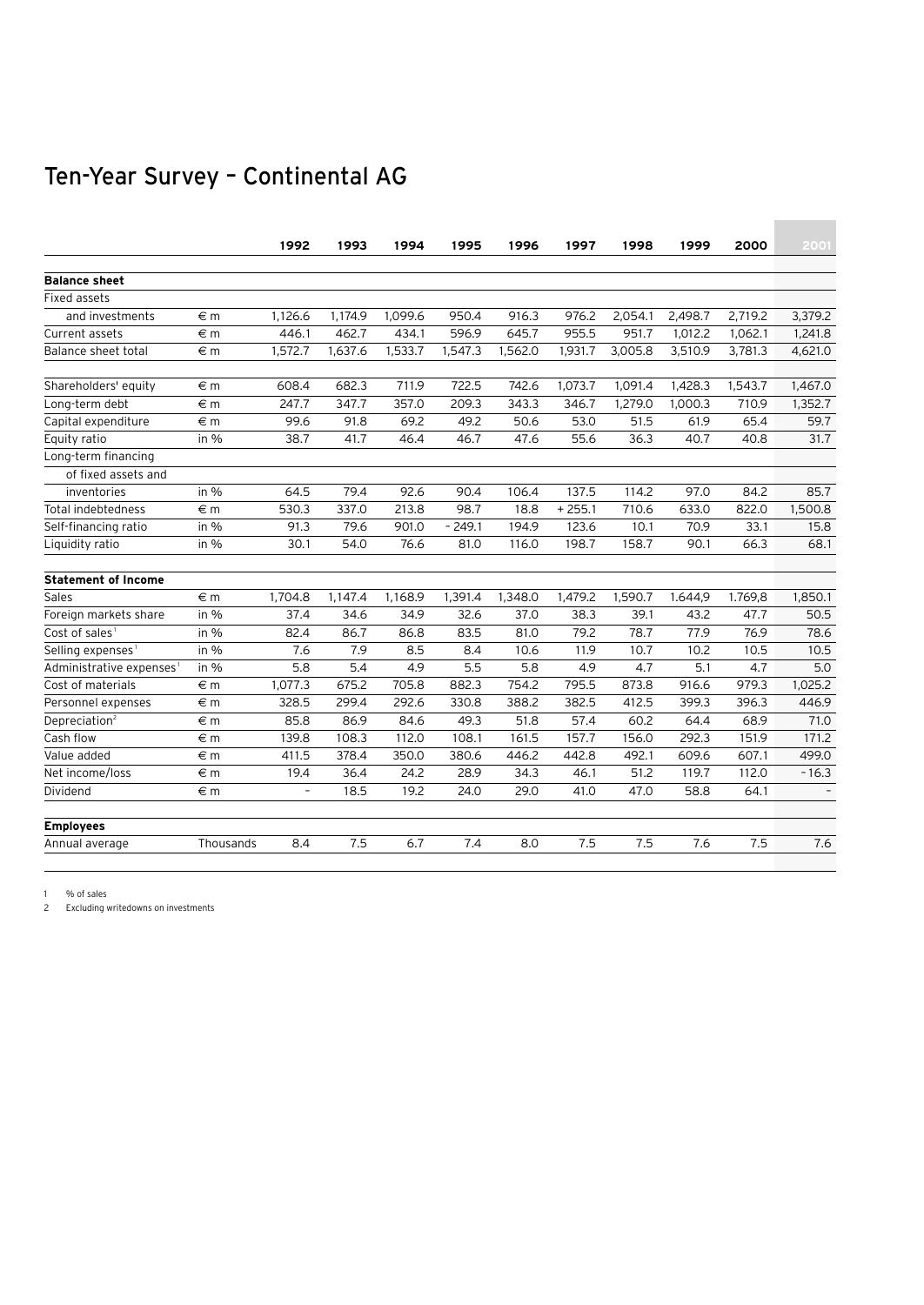## Ten-Year Survey – Continental AG

|                                      |           | 1992                     | 1993    | 1994    | 1995     | 1996    | 1997     | 1998    | 1999    | 2000    | 2001    |
|--------------------------------------|-----------|--------------------------|---------|---------|----------|---------|----------|---------|---------|---------|---------|
|                                      |           |                          |         |         |          |         |          |         |         |         |         |
| <b>Balance sheet</b>                 |           |                          |         |         |          |         |          |         |         |         |         |
| Fixed assets                         |           |                          |         |         |          |         |          |         |         |         |         |
| and investments                      | €m        | 1,126.6                  | 1,174.9 | 1.099.6 | 950.4    | 916.3   | 976.2    | 2,054.1 | 2,498.7 | 2,719.2 | 3.379.2 |
| Current assets                       | €m        | 446.1                    | 462.7   | 434.1   | 596.9    | 645.7   | 955.5    | 951.7   | 1,012.2 | 1,062.1 | 1,241.8 |
| <b>Balance sheet total</b>           | €m        | 1,572.7                  | 1,637.6 | 1,533.7 | 1,547.3  | 1,562.0 | 1,931.7  | 3,005.8 | 3,510.9 | 3,781.3 | 4,621.0 |
| Shareholders' equity                 | €m        | 608.4                    | 682.3   | 711.9   | 722.5    | 742.6   | 1,073.7  | 1,091.4 | 1,428.3 | 1,543.7 | 1.467.0 |
| Long-term debt                       | €m        | 247.7                    | 347.7   | 357.0   | 209.3    | 343.3   | 346.7    | 1.279.0 | 1,000.3 | 710.9   | 1,352.7 |
| Capital expenditure                  | €m        | 99.6                     | 91.8    | 69.2    | 49.2     | 50.6    | 53.0     | 51.5    | 61.9    | 65.4    | 59.7    |
| Equity ratio                         | in $%$    | 38.7                     | 41.7    | 46.4    | 46.7     | 47.6    | 55.6     | 36.3    | 40.7    | 40.8    | 31.7    |
| Long-term financing                  |           |                          |         |         |          |         |          |         |         |         |         |
| of fixed assets and                  |           |                          |         |         |          |         |          |         |         |         |         |
| inventories                          | in $%$    | 64.5                     | 79.4    | 92.6    | 90.4     | 106.4   | 137.5    | 114.2   | 97.0    | 84.2    | 85.7    |
| Total indebtedness                   | €m        | 530.3                    | 337.0   | 213.8   | 98.7     | 18.8    | $+255.1$ | 710.6   | 633.0   | 822.0   | 1,500.8 |
| Self-financing ratio                 | in $%$    | 91.3                     | 79.6    | 901.0   | $-249.1$ | 194.9   | 123.6    | 10.1    | 70.9    | 33.1    | 15.8    |
| Liquidity ratio                      | in $%$    | 30.1                     | 54.0    | 76.6    | 81.0     | 116.0   | 198.7    | 158.7   | 90.1    | 66.3    | 68.1    |
| <b>Statement of Income</b>           |           |                          |         |         |          |         |          |         |         |         |         |
| Sales                                | $\in$ m   | 1,704.8                  | 1,147.4 | 1.168.9 | 1,391.4  | 1,348.0 | 1,479.2  | 1,590.7 | 1.644,9 | 1.769,8 | 1.850.1 |
| Foreign markets share                | in $%$    | 37.4                     | 34.6    | 34.9    | 32.6     | 37.0    | 38.3     | 39.1    | 43.2    | 47.7    | 50.5    |
| Cost of sales <sup>1</sup>           | in $%$    | 82.4                     | 86.7    | 86.8    | 83.5     | 81.0    | 79.2     | 78.7    | 77.9    | 76.9    | 78.6    |
| Selling expenses <sup>1</sup>        | in $%$    | 7.6                      | 7.9     | 8.5     | 8.4      | 10.6    | 11.9     | 10.7    | 10.2    | 10.5    | 10.5    |
| Administrative expenses <sup>1</sup> | in $%$    | 5.8                      | 5.4     | 4.9     | 5.5      | 5.8     | 4.9      | 4.7     | 5.1     | 4.7     | 5.0     |
| Cost of materials                    | $\in$ m   | 1.077.3                  | 675.2   | 705.8   | 882.3    | 754.2   | 795.5    | 873.8   | 916.6   | 979.3   | 1.025.2 |
| Personnel expenses                   | €m        | 328.5                    | 299.4   | 292.6   | 330.8    | 388.2   | 382.5    | 412.5   | 399.3   | 396.3   | 446.9   |
| Depreciation <sup>2</sup>            | €m        | 85.8                     | 86.9    | 84.6    | 49.3     | 51.8    | 57.4     | 60.2    | 64.4    | 68.9    | 71.0    |
| Cash flow                            | €m        | 139.8                    | 108.3   | 112.0   | 108.1    | 161.5   | 157.7    | 156.0   | 292.3   | 151.9   | 171.2   |
| Value added                          | €m        | 411.5                    | 378.4   | 350.0   | 380.6    | 446.2   | 442.8    | 492.1   | 609.6   | 607.1   | 499.0   |
| Net income/loss                      | €m        | 19.4                     | 36.4    | 24.2    | 28.9     | 34.3    | 46.1     | 51.2    | 119.7   | 112.0   | $-16.3$ |
| Dividend                             | €m        | $\overline{\phantom{a}}$ | 18.5    | 19.2    | 24.0     | 29.0    | 41.0     | 47.0    | 58.8    | 64.1    |         |
| <b>Employees</b>                     |           |                          |         |         |          |         |          |         |         |         |         |
| Annual average                       | Thousands | 8.4                      | 7.5     | 6.7     | 7.4      | 8.0     | 7.5      | 7.5     | 7.6     | 7.5     | 7.6     |
|                                      |           |                          |         |         |          |         |          |         |         |         |         |

1 % of sales

2 Excluding writedowns on investments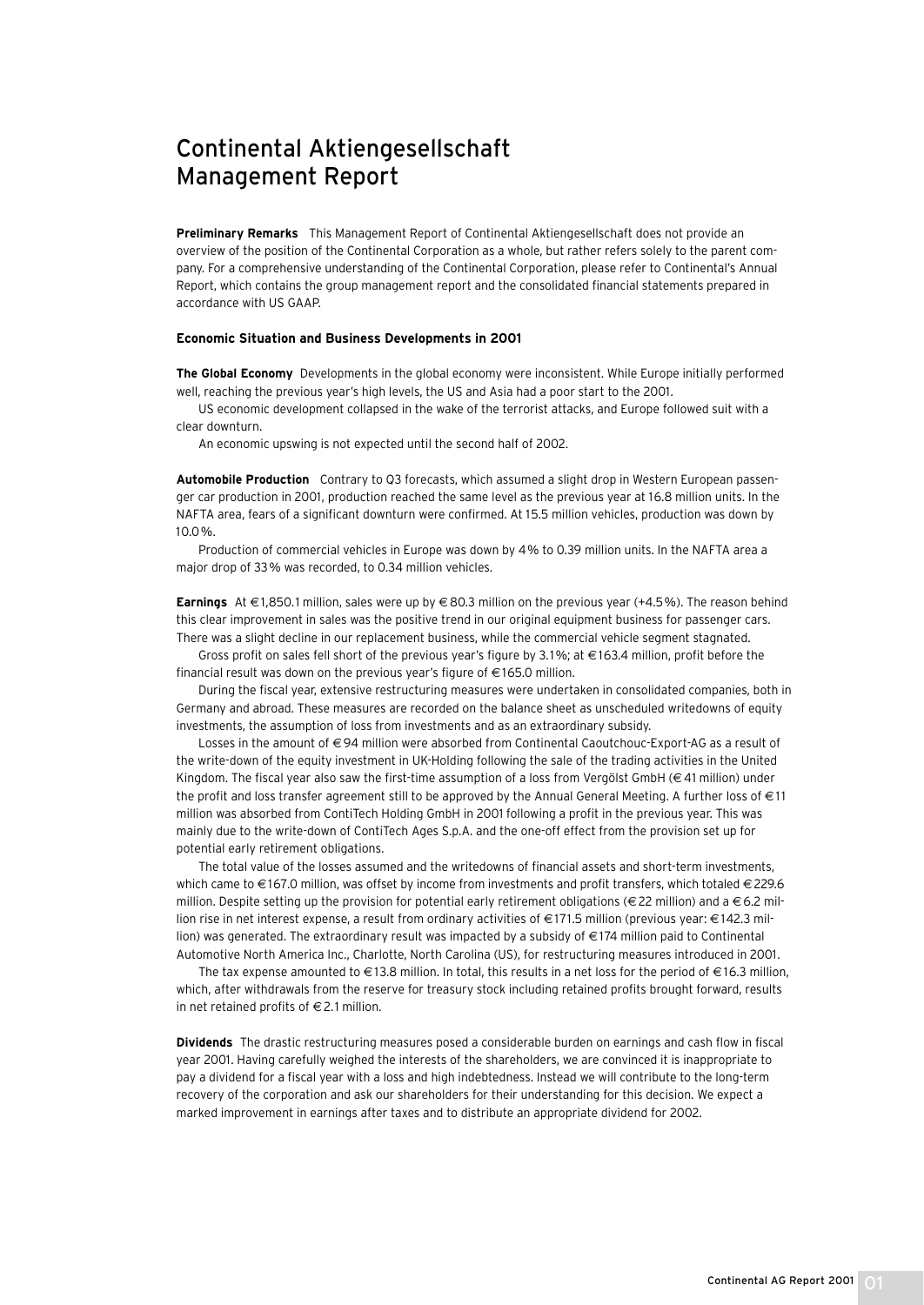## Continental Aktiengesellschaft Management Report

**Preliminary Remarks** This Management Report of Continental Aktiengesellschaft does not provide an overview of the position of the Continental Corporation as a whole, but rather refers solely to the parent company. For a comprehensive understanding of the Continental Corporation, please refer to Continental's Annual Report, which contains the group management report and the consolidated financial statements prepared in accordance with US GAAP.

#### **Economic Situation and Business Developments in 2001**

**The Global Economy** Developments in the global economy were inconsistent. While Europe initially performed well, reaching the previous year's high levels, the US and Asia had a poor start to the 2001.

US economic development collapsed in the wake of the terrorist attacks, and Europe followed suit with a clear downturn.

An economic upswing is not expected until the second half of 2002.

**Automobile Production** Contrary to Q3 forecasts, which assumed a slight drop in Western European passenger car production in 2001, production reached the same level as the previous year at 16.8 million units. In the NAFTA area, fears of a significant downturn were confirmed. At 15.5 million vehicles, production was down by 10.0 %.

Production of commercial vehicles in Europe was down by 4% to 0.39 million units. In the NAFTA area a major drop of 33% was recorded, to 0.34 million vehicles.

**Earnings** At € 1,850.1 million, sales were up by € 80.3 million on the previous year (+4.5%). The reason behind this clear improvement in sales was the positive trend in our original equipment business for passenger cars. There was a slight decline in our replacement business, while the commercial vehicle segment stagnated.

Gross profit on sales fell short of the previous year's figure by 3.1%; at € 163.4 million, profit before the financial result was down on the previous year's figure of  $\in$  165.0 million.

During the fiscal year, extensive restructuring measures were undertaken in consolidated companies, both in Germany and abroad. These measures are recorded on the balance sheet as unscheduled writedowns of equity investments, the assumption of loss from investments and as an extraordinary subsidy.

Losses in the amount of € 94 million were absorbed from Continental Caoutchouc-Export-AG as a result of the write-down of the equity investment in UK-Holding following the sale of the trading activities in the United Kingdom. The fiscal year also saw the first-time assumption of a loss from Vergölst GmbH (€ 41 million) under the profit and loss transfer agreement still to be approved by the Annual General Meeting. A further loss of  $\in$  11 million was absorbed from ContiTech Holding GmbH in 2001 following a profit in the previous year. This was mainly due to the write-down of ContiTech Ages S.p.A. and the one-off effect from the provision set up for potential early retirement obligations.

The total value of the losses assumed and the writedowns of financial assets and short-term investments, which came to €167.0 million, was offset by income from investments and profit transfers, which totaled €229.6 million. Despite setting up the provision for potential early retirement obligations ( $\in$  22 million) and a  $\in$  6.2 million rise in net interest expense, a result from ordinary activities of € 171.5 million (previous year: € 142.3 million) was generated. The extraordinary result was impacted by a subsidy of € 174 million paid to Continental Automotive North America Inc., Charlotte, North Carolina (US), for restructuring measures introduced in 2001.

The tax expense amounted to €13.8 million. In total, this results in a net loss for the period of €16.3 million, which, after withdrawals from the reserve for treasury stock including retained profits brought forward, results in net retained profits of  $\in$  2.1 million.

**Dividends** The drastic restructuring measures posed a considerable burden on earnings and cash flow in fiscal year 2001. Having carefully weighed the interests of the shareholders, we are convinced it is inappropriate to pay a dividend for a fiscal year with a loss and high indebtedness. Instead we will contribute to the long-term recovery of the corporation and ask our shareholders for their understanding for this decision. We expect a marked improvement in earnings after taxes and to distribute an appropriate dividend for 2002.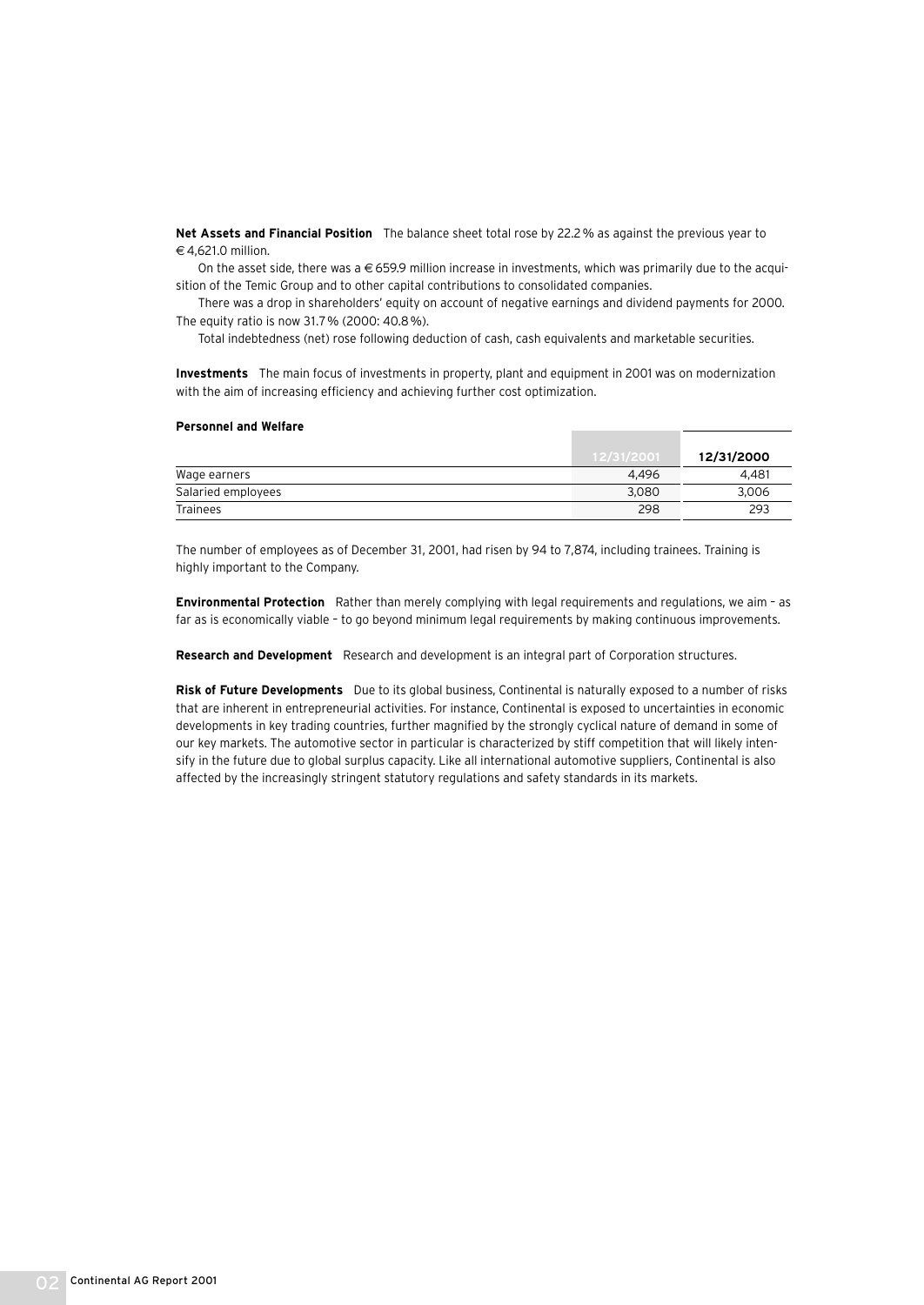**Net Assets and Financial Position** The balance sheet total rose by 22.2% as against the previous year to  $\in$  4.621.0 million

On the asset side, there was a  $\in$  659.9 million increase in investments, which was primarily due to the acquisition of the Temic Group and to other capital contributions to consolidated companies.

There was a drop in shareholders' equity on account of negative earnings and dividend payments for 2000. The equity ratio is now 31.7% (2000: 40.8%).

Total indebtedness (net) rose following deduction of cash, cash equivalents and marketable securities.

**Investments** The main focus of investments in property, plant and equipment in 2001 was on modernization with the aim of increasing efficiency and achieving further cost optimization.

#### **Personnel and Welfare**

|                    | 12/31/2001 | 12/31/2000 |
|--------------------|------------|------------|
| Wage earners       | 4.496      | 4.481      |
| Salaried employees | 3.080      | 3,006      |
| <b>Trainees</b>    | 298        | 293        |

The number of employees as of December 31, 2001, had risen by 94 to 7,874, including trainees. Training is highly important to the Company.

**Environmental Protection** Rather than merely complying with legal requirements and regulations, we aim – as far as is economically viable – to go beyond minimum legal requirements by making continuous improvements.

**Research and Development** Research and development is an integral part of Corporation structures.

**Risk of Future Developments** Due to its global business, Continental is naturally exposed to a number of risks that are inherent in entrepreneurial activities. For instance, Continental is exposed to uncertainties in economic developments in key trading countries, further magnified by the strongly cyclical nature of demand in some of our key markets. The automotive sector in particular is characterized by stiff competition that will likely intensify in the future due to global surplus capacity. Like all international automotive suppliers, Continental is also affected by the increasingly stringent statutory regulations and safety standards in its markets.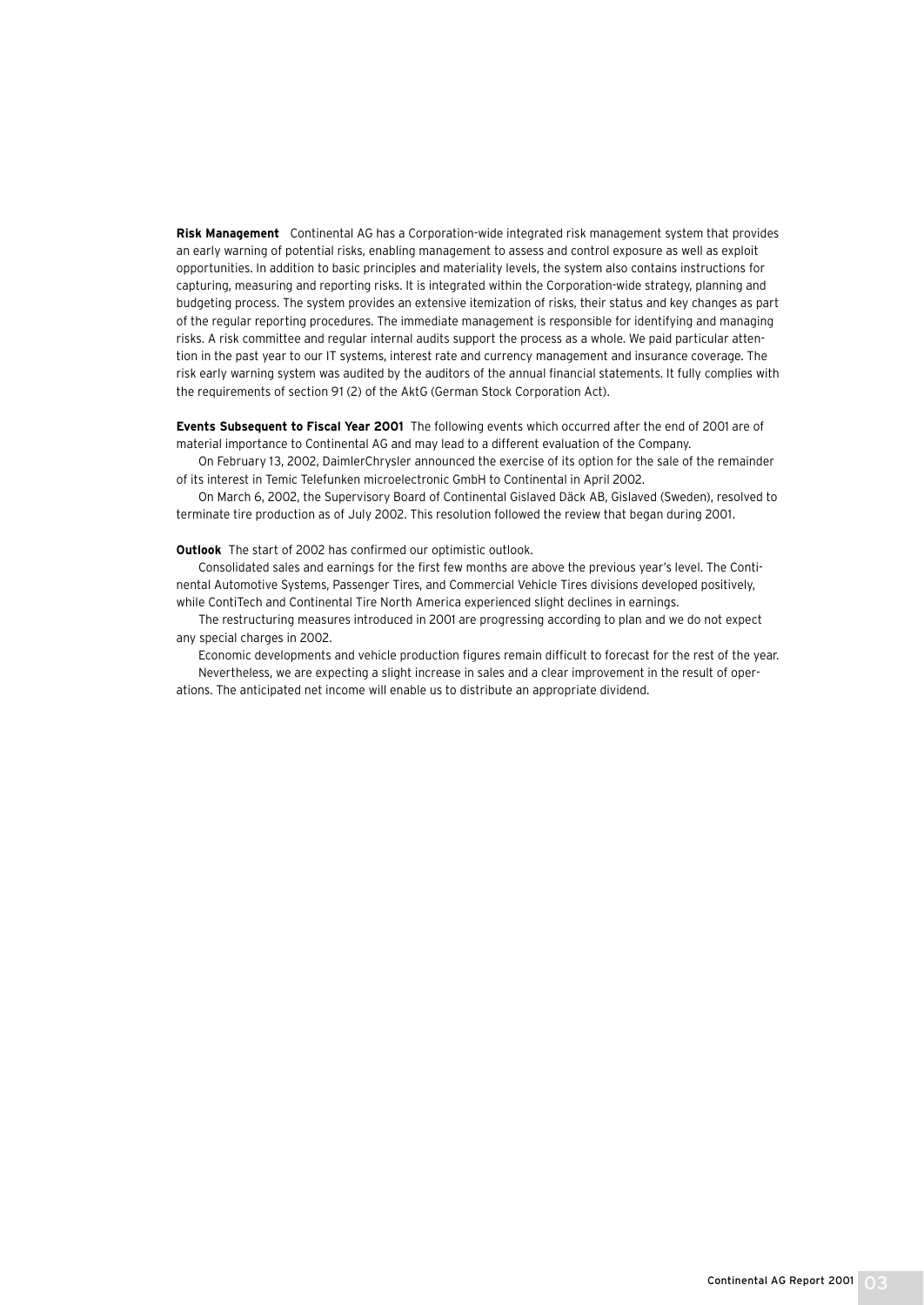**Risk Management** Continental AG has a Corporation-wide integrated risk management system that provides an early warning of potential risks, enabling management to assess and control exposure as well as exploit opportunities. In addition to basic principles and materiality levels, the system also contains instructions for capturing, measuring and reporting risks. It is integrated within the Corporation-wide strategy, planning and budgeting process. The system provides an extensive itemization of risks, their status and key changes as part of the regular reporting procedures. The immediate management is responsible for identifying and managing risks. A risk committee and regular internal audits support the process as a whole. We paid particular attention in the past year to our IT systems, interest rate and currency management and insurance coverage. The risk early warning system was audited by the auditors of the annual financial statements. It fully complies with the requirements of section 91 (2) of the AktG (German Stock Corporation Act).

**Events Subsequent to Fiscal Year 2001** The following events which occurred after the end of 2001 are of material importance to Continental AG and may lead to a different evaluation of the Company.

On February 13, 2002, DaimlerChrysler announced the exercise of its option for the sale of the remainder of its interest in Temic Telefunken microelectronic GmbH to Continental in April 2002.

On March 6, 2002, the Supervisory Board of Continental Gislaved Däck AB, Gislaved (Sweden), resolved to terminate tire production as of July 2002. This resolution followed the review that began during 2001.

**Outlook** The start of 2002 has confirmed our optimistic outlook.

Consolidated sales and earnings for the first few months are above the previous year's level. The Continental Automotive Systems, Passenger Tires, and Commercial Vehicle Tires divisions developed positively, while ContiTech and Continental Tire North America experienced slight declines in earnings.

The restructuring measures introduced in 2001 are progressing according to plan and we do not expect any special charges in 2002.

Economic developments and vehicle production figures remain difficult to forecast for the rest of the year. Nevertheless, we are expecting a slight increase in sales and a clear improvement in the result of operations. The anticipated net income will enable us to distribute an appropriate dividend.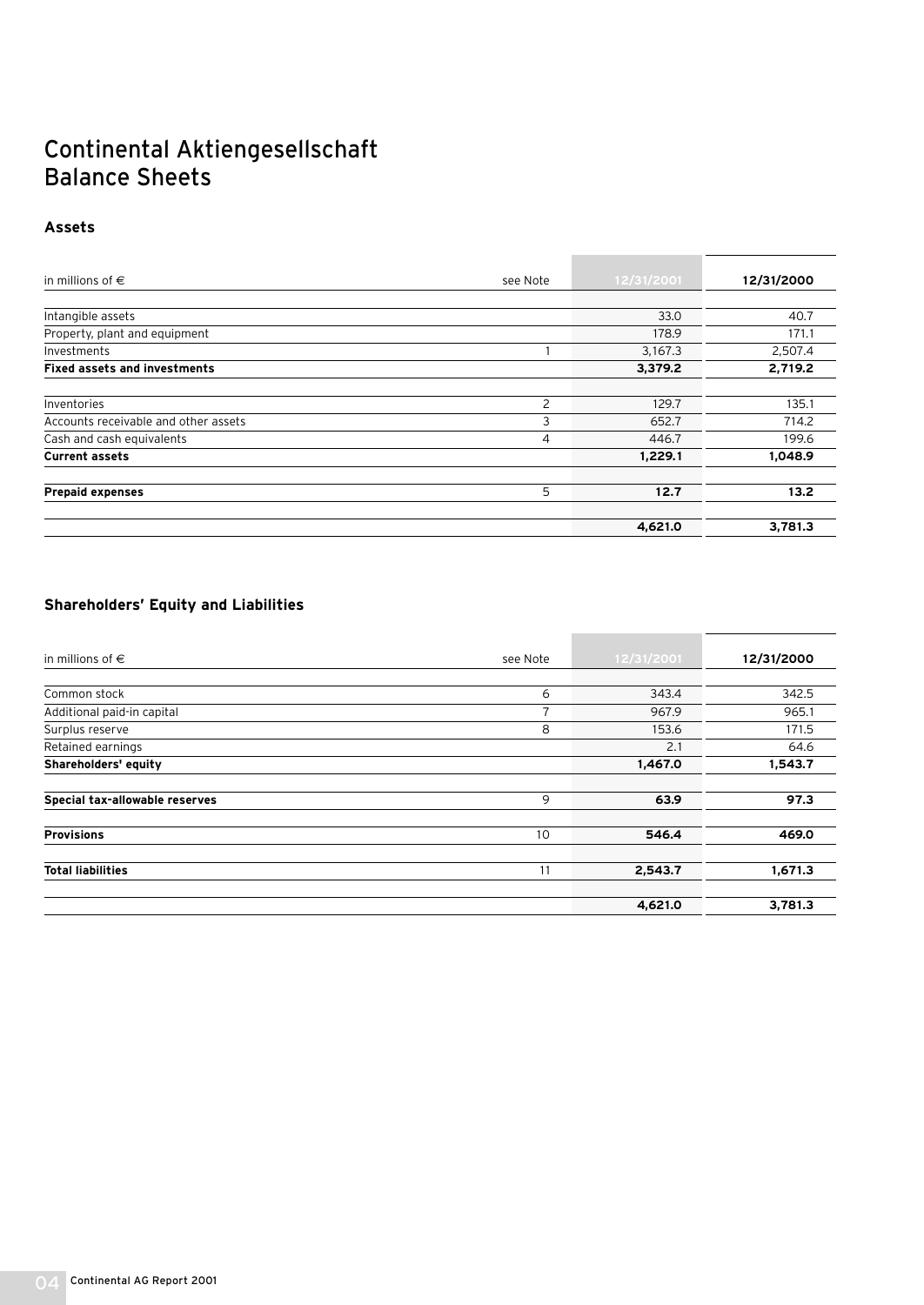## Continental Aktiengesellschaft Balance Sheets

### **Assets**

| in millions of $\in$                 | see Note       | 12/31/2001 | 12/31/2000 |
|--------------------------------------|----------------|------------|------------|
|                                      |                |            |            |
| Intangible assets                    |                | 33.0       | 40.7       |
| Property, plant and equipment        |                | 178.9      | 171.1      |
| Investments                          |                | 3,167.3    | 2,507.4    |
| <b>Fixed assets and investments</b>  |                | 3,379.2    | 2,719.2    |
| Inventories                          | 2              | 129.7      | 135.1      |
| Accounts receivable and other assets | 3              | 652.7      | 714.2      |
| Cash and cash equivalents            | $\overline{4}$ | 446.7      | 199.6      |
| <b>Current assets</b>                |                | 1,229.1    | 1,048.9    |
| <b>Prepaid expenses</b>              | 5              | 12.7       | 13.2       |
|                                      |                | 4,621.0    | 3,781.3    |

### **Shareholders' Equity and Liabilities**

| in millions of $\in$           | see Note       | 12/31/2001 | 12/31/2000 |
|--------------------------------|----------------|------------|------------|
|                                |                |            |            |
| Common stock                   | 6              | 343.4      | 342.5      |
| Additional paid-in capital     | $\overline{ }$ | 967.9      | 965.1      |
| Surplus reserve                | 8              | 153.6      | 171.5      |
| Retained earnings              |                | 2.1        | 64.6       |
| Shareholders' equity           |                | 1,467.0    | 1,543.7    |
| Special tax-allowable reserves | 9              | 63.9       | 97.3       |
| <b>Provisions</b>              | 10             | 546.4      | 469.0      |
| <b>Total liabilities</b>       | 11             | 2,543.7    | 1,671.3    |
|                                |                | 4,621.0    | 3,781.3    |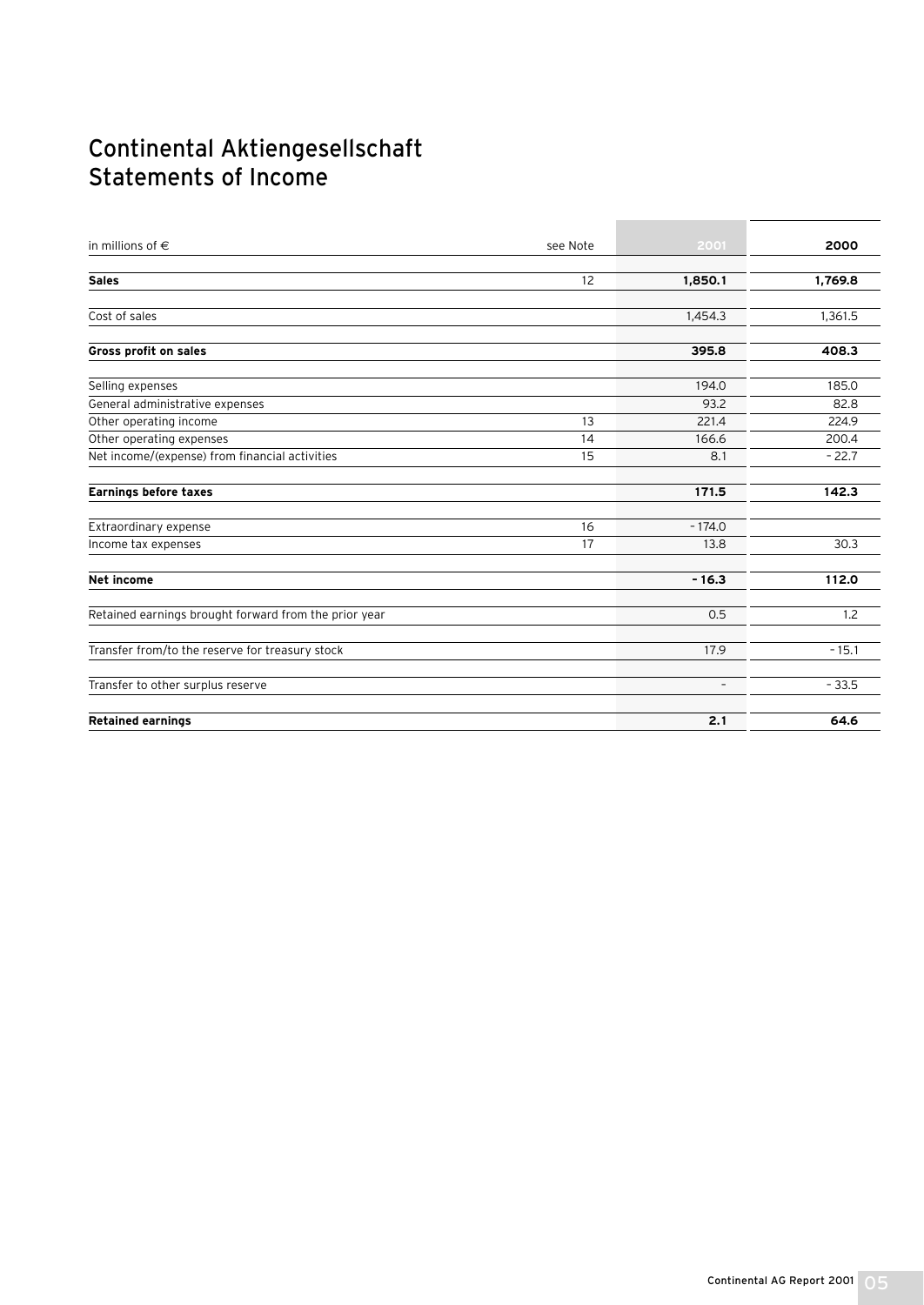## Continental Aktiengesellschaft Statements of Income

| in millions of $\in$                                  | see Note | 2001                     | 2000    |
|-------------------------------------------------------|----------|--------------------------|---------|
| <b>Sales</b>                                          | 12       | 1,850.1                  | 1,769.8 |
| Cost of sales                                         |          | 1,454.3                  | 1,361.5 |
| Gross profit on sales                                 |          | 395.8                    | 408.3   |
| Selling expenses                                      |          | 194.0                    | 185.0   |
| General administrative expenses                       |          | 93.2                     | 82.8    |
| Other operating income                                | 13       | 221.4                    | 224.9   |
| Other operating expenses                              | 14       | 166.6                    | 200.4   |
| Net income/(expense) from financial activities        | 15       | 8.1                      | $-22.7$ |
| <b>Earnings before taxes</b>                          |          | 171.5                    | 142.3   |
| Extraordinary expense                                 | 16       | $-174.0$                 |         |
| Income tax expenses                                   | 17       | 13.8                     | 30.3    |
| <b>Net income</b>                                     |          | $-16.3$                  | 112.0   |
| Retained earnings brought forward from the prior year |          | 0.5                      | 1.2     |
| Transfer from/to the reserve for treasury stock       |          | 17.9                     | $-15.1$ |
| Transfer to other surplus reserve                     |          | $\overline{\phantom{a}}$ | $-33.5$ |
| <b>Retained earnings</b>                              |          | 2.1                      | 64.6    |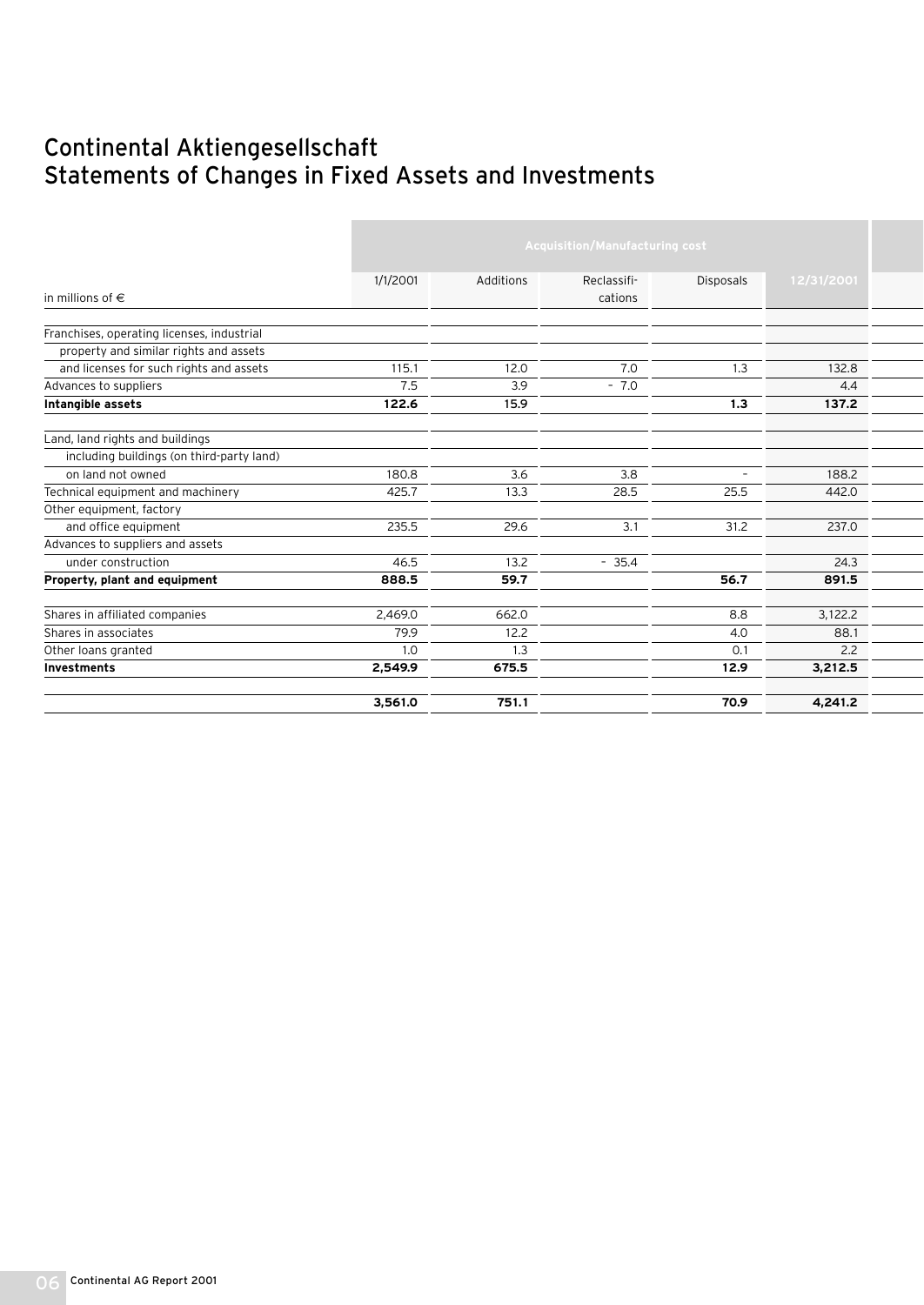## Continental Aktiengesellschaft Statements of Changes in Fixed Assets and Investments

|                                            |          | <b>Acquisition/Manufacturing cost</b> |             |                          |            |  |  |
|--------------------------------------------|----------|---------------------------------------|-------------|--------------------------|------------|--|--|
|                                            |          |                                       |             |                          |            |  |  |
|                                            | 1/1/2001 | Additions                             | Reclassifi- | <b>Disposals</b>         | 12/31/2001 |  |  |
| in millions of $\in$                       |          |                                       | cations     |                          |            |  |  |
| Franchises, operating licenses, industrial |          |                                       |             |                          |            |  |  |
| property and similar rights and assets     |          |                                       |             |                          |            |  |  |
|                                            | 115.1    | 12.0                                  | 7.0         | 1.3                      | 132.8      |  |  |
| and licenses for such rights and assets    |          |                                       |             |                          |            |  |  |
| Advances to suppliers                      | 7.5      | 3.9                                   | $-7.0$      |                          | 4.4        |  |  |
| Intangible assets                          | 122.6    | 15.9                                  |             | 1.3                      | 137.2      |  |  |
| Land, land rights and buildings            |          |                                       |             |                          |            |  |  |
| including buildings (on third-party land)  |          |                                       |             |                          |            |  |  |
| on land not owned                          | 180.8    | 3.6                                   | 3.8         | $\overline{\phantom{a}}$ | 188.2      |  |  |
| Technical equipment and machinery          | 425.7    | 13.3                                  | 28.5        | 25.5                     | 442.0      |  |  |
| Other equipment, factory                   |          |                                       |             |                          |            |  |  |
| and office equipment                       | 235.5    | 29.6                                  | 3.1         | 31.2                     | 237.0      |  |  |
| Advances to suppliers and assets           |          |                                       |             |                          |            |  |  |
| under construction                         | 46.5     | 13.2                                  | $-35.4$     |                          | 24.3       |  |  |
| Property, plant and equipment              | 888.5    | 59.7                                  |             | 56.7                     | 891.5      |  |  |
| Shares in affiliated companies             | 2.469.0  | 662.0                                 |             | 8.8                      | 3,122.2    |  |  |
| Shares in associates                       | 79.9     | 12.2                                  |             | 4.0                      | 88.1       |  |  |
| Other loans granted                        | 1.0      | 1.3                                   |             | 0.1                      | 2.2        |  |  |
| <b>Investments</b>                         | 2,549.9  | 675.5                                 |             | 12.9                     | 3,212.5    |  |  |
|                                            | 3,561.0  | 751.1                                 |             | 70.9                     | 4,241.2    |  |  |
|                                            |          |                                       |             |                          |            |  |  |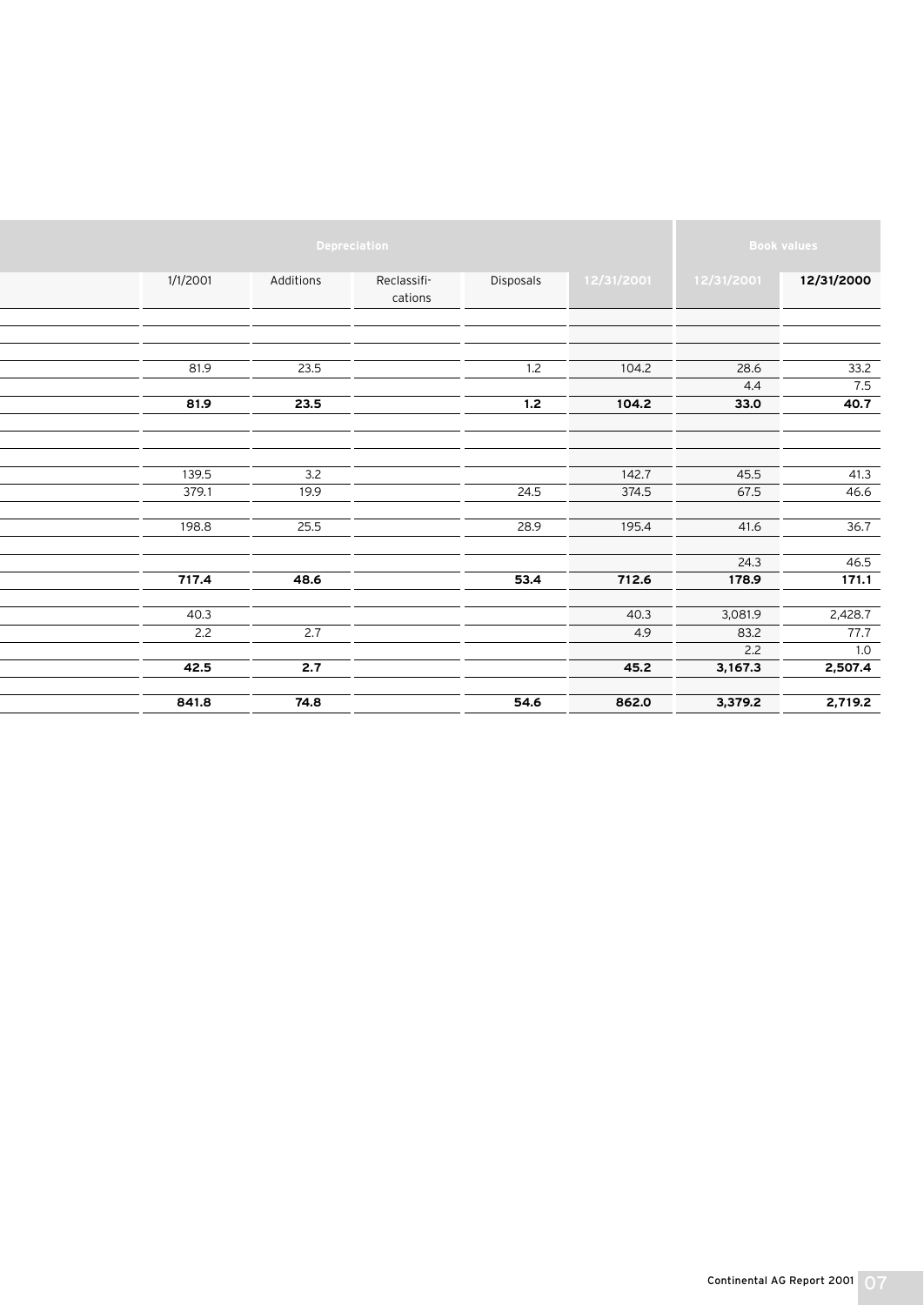|          |           | Depreciation           |           |            |            | <b>Book values</b> |
|----------|-----------|------------------------|-----------|------------|------------|--------------------|
| 1/1/2001 | Additions | Reclassifi-<br>cations | Disposals | 12/31/2001 | 12/31/2001 | 12/31/2000         |
|          |           |                        |           |            |            |                    |
| 81.9     | 23.5      |                        | 1.2       | 104.2      | 28.6       | 33.2               |
|          |           |                        |           |            | 4.4        | 7.5                |
| 81.9     | 23.5      |                        | 1.2       | 104.2      | 33.0       | 40.7               |
|          |           |                        |           |            |            |                    |
| 139.5    | 3.2       |                        |           | 142.7      | 45.5       | 41.3               |
| 379.1    | 19.9      |                        | 24.5      | 374.5      | 67.5       | 46.6               |
|          |           |                        |           |            |            |                    |
| 198.8    | 25.5      |                        | 28.9      | 195.4      | 41.6       | 36.7               |
|          |           |                        |           |            |            |                    |
|          |           |                        |           |            | 24.3       | 46.5               |
| 717.4    | 48.6      |                        | 53.4      | 712.6      | 178.9      | 171.1              |
| 40.3     |           |                        |           | 40.3       | 3,081.9    | 2,428.7            |
| 2.2      | 2.7       |                        |           | 4.9        | 83.2       | 77.7               |
|          |           |                        |           |            | 2.2        | 1.0                |
| 42.5     | 2.7       |                        |           | 45.2       | 3,167.3    | 2,507.4            |
| 841.8    | 74.8      |                        | 54.6      | 862.0      | 3,379.2    | 2,719.2            |
|          |           |                        |           |            |            |                    |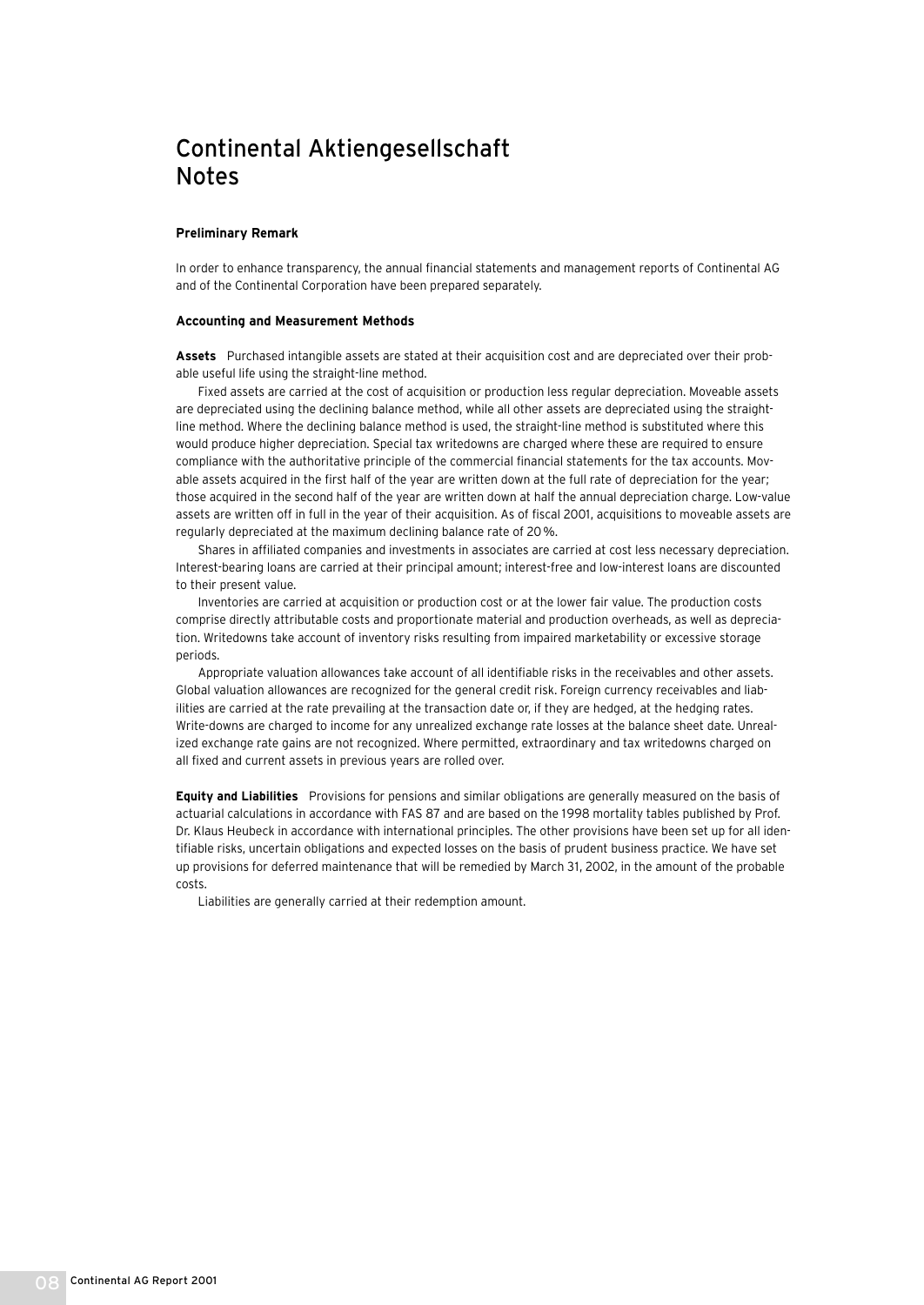## Continental Aktiengesellschaft Notes

#### **Preliminary Remark**

In order to enhance transparency, the annual financial statements and management reports of Continental AG and of the Continental Corporation have been prepared separately.

#### **Accounting and Measurement Methods**

**Assets** Purchased intangible assets are stated at their acquisition cost and are depreciated over their probable useful life using the straight-line method.

Fixed assets are carried at the cost of acquisition or production less regular depreciation. Moveable assets are depreciated using the declining balance method, while all other assets are depreciated using the straightline method. Where the declining balance method is used, the straight-line method is substituted where this would produce higher depreciation. Special tax writedowns are charged where these are required to ensure compliance with the authoritative principle of the commercial financial statements for the tax accounts. Movable assets acquired in the first half of the year are written down at the full rate of depreciation for the year; those acquired in the second half of the year are written down at half the annual depreciation charge. Low-value assets are written off in full in the year of their acquisition. As of fiscal 2001, acquisitions to moveable assets are regularly depreciated at the maximum declining balance rate of 20%.

Shares in affiliated companies and investments in associates are carried at cost less necessary depreciation. Interest-bearing loans are carried at their principal amount; interest-free and low-interest loans are discounted to their present value.

Inventories are carried at acquisition or production cost or at the lower fair value. The production costs comprise directly attributable costs and proportionate material and production overheads, as well as depreciation. Writedowns take account of inventory risks resulting from impaired marketability or excessive storage periods.

Appropriate valuation allowances take account of all identifiable risks in the receivables and other assets. Global valuation allowances are recognized for the general credit risk. Foreign currency receivables and liabilities are carried at the rate prevailing at the transaction date or, if they are hedged, at the hedging rates. Write-downs are charged to income for any unrealized exchange rate losses at the balance sheet date. Unrealized exchange rate gains are not recognized. Where permitted, extraordinary and tax writedowns charged on all fixed and current assets in previous years are rolled over.

**Equity and Liabilities** Provisions for pensions and similar obligations are generally measured on the basis of actuarial calculations in accordance with FAS 87 and are based on the 1998 mortality tables published by Prof. Dr. Klaus Heubeck in accordance with international principles. The other provisions have been set up for all identifiable risks, uncertain obligations and expected losses on the basis of prudent business practice. We have set up provisions for deferred maintenance that will be remedied by March 31, 2002, in the amount of the probable costs.

Liabilities are generally carried at their redemption amount.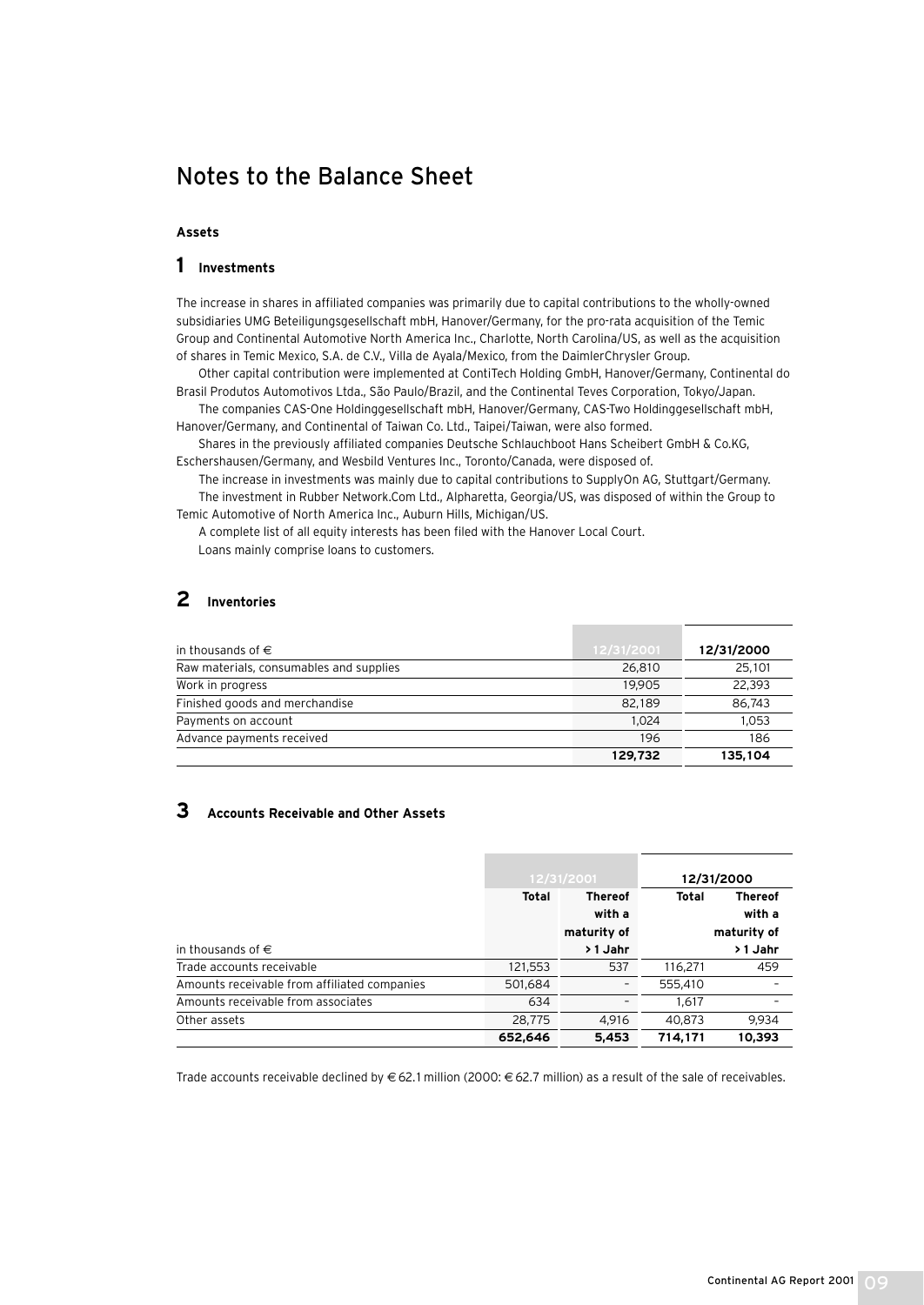## Notes to the Balance Sheet

### **Assets**

### **1 Investments**

The increase in shares in affiliated companies was primarily due to capital contributions to the wholly-owned subsidiaries UMG Beteiligungsgesellschaft mbH, Hanover/Germany, for the pro-rata acquisition of the Temic Group and Continental Automotive North America Inc., Charlotte, North Carolina/US, as well as the acquisition of shares in Temic Mexico, S.A. de C.V., Villa de Ayala/Mexico, from the DaimlerChrysler Group.

Other capital contribution were implemented at ContiTech Holding GmbH, Hanover/Germany, Continental do Brasil Produtos Automotivos Ltda., São Paulo/Brazil, and the Continental Teves Corporation, Tokyo/Japan.

The companies CAS-One Holdinggesellschaft mbH, Hanover/Germany, CAS-Two Holdinggesellschaft mbH, Hanover/Germany, and Continental of Taiwan Co. Ltd., Taipei/Taiwan, were also formed.

Shares in the previously affiliated companies Deutsche Schlauchboot Hans Scheibert GmbH & Co.KG, Eschershausen/Germany, and Wesbild Ventures Inc., Toronto/Canada, were disposed of.

The increase in investments was mainly due to capital contributions to SupplyOn AG, Stuttgart/Germany. The investment in Rubber Network.Com Ltd., Alpharetta, Georgia/US, was disposed of within the Group to Temic Automotive of North America Inc., Auburn Hills, Michigan/US.

A complete list of all equity interests has been filed with the Hanover Local Court. Loans mainly comprise loans to customers.

### **2 Inventories**

| in thousands of $\in$                   | 12/31/2001 | 12/31/2000 |
|-----------------------------------------|------------|------------|
| Raw materials, consumables and supplies | 26,810     | 25.101     |
| Work in progress                        | 19.905     | 22.393     |
| Finished goods and merchandise          | 82,189     | 86.743     |
| Payments on account                     | 1.024      | 1.053      |
| Advance payments received               | 196        | 186        |
|                                         | 129,732    | 135,104    |

### **3 Accounts Receivable and Other Assets**

|                                              |         | 12/31/2001                              |         | 12/31/2000                              |
|----------------------------------------------|---------|-----------------------------------------|---------|-----------------------------------------|
|                                              | Total   | <b>Thereof</b><br>with a<br>maturity of | Total   | <b>Thereof</b><br>with a<br>maturity of |
| in thousands of $\in$                        |         | > 1 Jahr                                |         | > 1 Jahr                                |
| Trade accounts receivable                    | 121,553 | 537                                     | 116.271 | 459                                     |
| Amounts receivable from affiliated companies | 501,684 |                                         | 555,410 |                                         |
| Amounts receivable from associates           | 634     |                                         | 1.617   |                                         |
| Other assets                                 | 28,775  | 4.916                                   | 40.873  | 9.934                                   |
|                                              | 652,646 | 5,453                                   | 714.171 | 10,393                                  |

Trade accounts receivable declined by € 62.1 million (2000: € 62.7 million) as a result of the sale of receivables.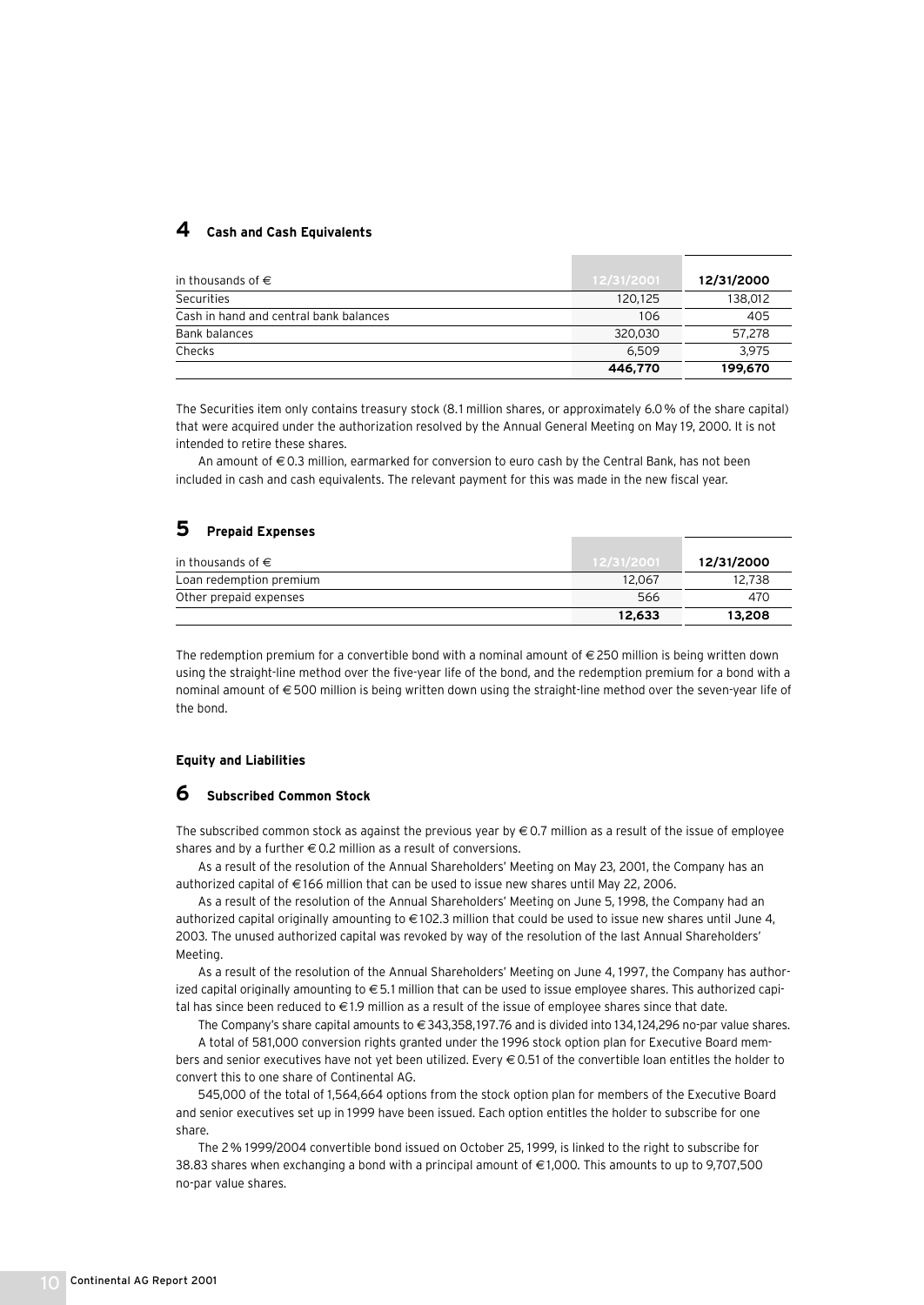### **4 Cash and Cash Equivalents**

| in thousands of $\in$                  | 12/31/2001 | 12/31/2000 |
|----------------------------------------|------------|------------|
| <b>Securities</b>                      | 120,125    | 138,012    |
| Cash in hand and central bank balances | 106        | 405        |
| Bank balances                          | 320.030    | 57.278     |
| Checks                                 | 6.509      | 3.975      |
|                                        | 446,770    | 199,670    |

The Securities item only contains treasury stock (8.1 million shares, or approximately 6.0% of the share capital) that were acquired under the authorization resolved by the Annual General Meeting on May 19, 2000. It is not intended to retire these shares.

An amount of € 0.3 million, earmarked for conversion to euro cash by the Central Bank, has not been included in cash and cash equivalents. The relevant payment for this was made in the new fiscal year.

### **5 Prepaid Expenses**

| in thousands of $\in$   | 12/31/2001 | 12/31/2000 |
|-------------------------|------------|------------|
| Loan redemption premium | 12.067     | 12.738     |
| Other prepaid expenses  | 566        | 470        |
|                         | 12,633     | 13,208     |

The redemption premium for a convertible bond with a nominal amount of €250 million is being written down using the straight-line method over the five-year life of the bond, and the redemption premium for a bond with a nominal amount of € 500 million is being written down using the straight-line method over the seven-year life of the bond.

#### **Equity and Liabilities**

### **6 Subscribed Common Stock**

The subscribed common stock as against the previous year by  $\in$  0.7 million as a result of the issue of employee shares and by a further  $\in$  0.2 million as a result of conversions.

As a result of the resolution of the Annual Shareholders' Meeting on May 23, 2001, the Company has an authorized capital of € 166 million that can be used to issue new shares until May 22, 2006.

As a result of the resolution of the Annual Shareholders' Meeting on June 5, 1998, the Company had an authorized capital originally amounting to € 102.3 million that could be used to issue new shares until June 4, 2003. The unused authorized capital was revoked by way of the resolution of the last Annual Shareholders' Meeting.

As a result of the resolution of the Annual Shareholders' Meeting on June 4, 1997, the Company has authorized capital originally amounting to €5.1 million that can be used to issue employee shares. This authorized capital has since been reduced to  $\in$  1.9 million as a result of the issue of employee shares since that date.

The Company's share capital amounts to €343,358,197.76 and is divided into 134,124,296 no-par value shares. A total of 581,000 conversion rights granted under the 1996 stock option plan for Executive Board members and senior executives have not yet been utilized. Every  $\epsilon$  0.51 of the convertible loan entitles the holder to convert this to one share of Continental AG.

545,000 of the total of 1,564,664 options from the stock option plan for members of the Executive Board and senior executives set up in 1999 have been issued. Each option entitles the holder to subscribe for one share.

The 2% 1999/2004 convertible bond issued on October 25, 1999, is linked to the right to subscribe for 38.83 shares when exchanging a bond with a principal amount of € 1,000. This amounts to up to 9,707,500 no-par value shares.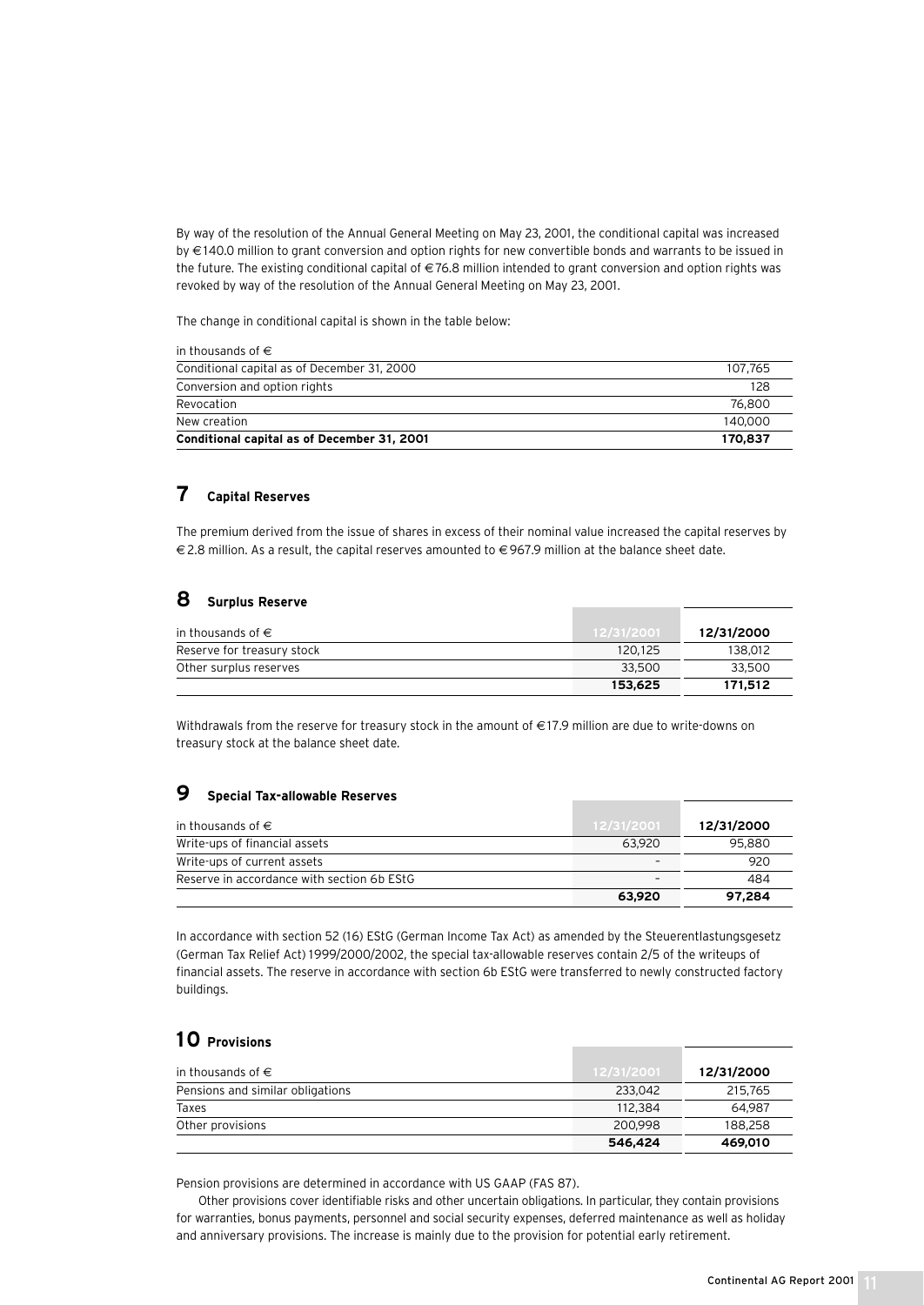By way of the resolution of the Annual General Meeting on May 23, 2001, the conditional capital was increased by € 140.0 million to grant conversion and option rights for new convertible bonds and warrants to be issued in the future. The existing conditional capital of  $\in 76.8$  million intended to grant conversion and option rights was revoked by way of the resolution of the Annual General Meeting on May 23, 2001.

The change in conditional capital is shown in the table below:

| Conditional capital as of December 31, 2001 | 170,837 |
|---------------------------------------------|---------|
| New creation                                | 140,000 |
| Revocation                                  | 76.800  |
| Conversion and option rights                | 128     |
| Conditional capital as of December 31, 2000 | 107.765 |
| in thousands of $\in$                       |         |

### **7 Capital Reserves**

The premium derived from the issue of shares in excess of their nominal value increased the capital reserves by € 2.8 million. As a result, the capital reserves amounted to € 967.9 million at the balance sheet date.

### **8 Surplus Reserve**

| in thousands of $\in$      | 12/31/2001 | 12/31/2000 |
|----------------------------|------------|------------|
| Reserve for treasury stock | 120.125    | 138.012    |
| Other surplus reserves     | 33,500     | 33,500     |
|                            | 153.625    | 171,512    |

Withdrawals from the reserve for treasury stock in the amount of €17.9 million are due to write-downs on treasury stock at the balance sheet date.

### **9 Special Tax-allowable Reserves**

| in thousands of $\in$                      | 12/31/2001 | 12/31/2000 |
|--------------------------------------------|------------|------------|
| Write-ups of financial assets              | 63.920     | 95,880     |
| Write-ups of current assets                |            | 920        |
| Reserve in accordance with section 6b EStG |            | 484        |
|                                            | 63,920     | 97.284     |

In accordance with section 52 (16) EStG (German Income Tax Act) as amended by the Steuerentlastungsgesetz (German Tax Relief Act) 1999/2000/2002, the special tax-allowable reserves contain 2/5 of the writeups of financial assets. The reserve in accordance with section 6b EStG were transferred to newly constructed factory buildings.

### **10 Provisions**

| in thousands of $\in$            | 12/31/2001 | 12/31/2000 |
|----------------------------------|------------|------------|
| Pensions and similar obligations | 233.042    | 215,765    |
| Taxes                            | 112,384    | 64.987     |
| Other provisions                 | 200,998    | 188.258    |
|                                  | 546,424    | 469,010    |

Pension provisions are determined in accordance with US GAAP (FAS 87).

Other provisions cover identifiable risks and other uncertain obligations. In particular, they contain provisions for warranties, bonus payments, personnel and social security expenses, deferred maintenance as well as holiday and anniversary provisions. The increase is mainly due to the provision for potential early retirement.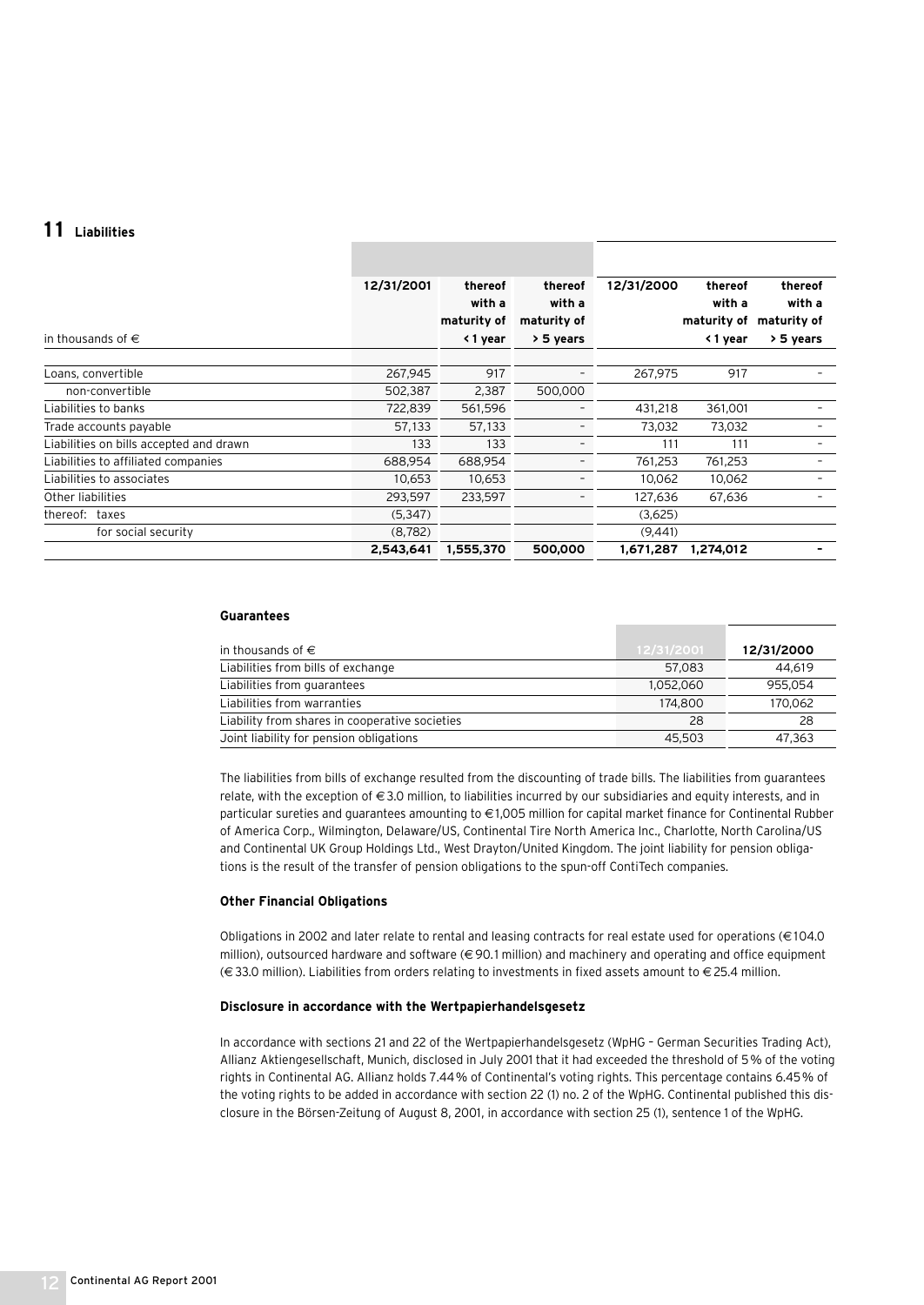### **1 1 Liabilities**

| in thousands of $\in$                   | 12/31/2001 | thereof<br>with a<br>maturity of<br>< 1 year | thereof<br>with a<br>maturity of<br>> 5 years | 12/31/2000 | thereof<br>with a<br>maturity of<br>< 1 year | thereof<br>with a<br>maturity of<br>> 5 years |
|-----------------------------------------|------------|----------------------------------------------|-----------------------------------------------|------------|----------------------------------------------|-----------------------------------------------|
| Loans, convertible                      | 267,945    | 917                                          |                                               | 267,975    | 917                                          |                                               |
| non-convertible                         | 502,387    | 2,387                                        | 500,000                                       |            |                                              |                                               |
| Liabilities to banks                    | 722,839    | 561,596                                      |                                               | 431,218    | 361,001                                      |                                               |
| Trade accounts payable                  | 57,133     | 57,133                                       |                                               | 73,032     | 73,032                                       |                                               |
| Liabilities on bills accepted and drawn | 133        | 133                                          |                                               | 111        | 111                                          |                                               |
| Liabilities to affiliated companies     | 688,954    | 688,954                                      |                                               | 761,253    | 761,253                                      |                                               |
| Liabilities to associates               | 10,653     | 10,653                                       |                                               | 10,062     | 10,062                                       |                                               |
| Other liabilities                       | 293,597    | 233,597                                      |                                               | 127,636    | 67,636                                       |                                               |
| thereof: taxes                          | (5, 347)   |                                              |                                               | (3,625)    |                                              |                                               |
| for social security                     | (8, 782)   |                                              |                                               | (9,441)    |                                              |                                               |
|                                         | 2,543,641  | 1,555,370                                    | 500,000                                       | 1,671,287  | 1,274,012                                    |                                               |

#### **Guarantees**

| in thousands of $\in$                          | 12/31/2001 | 12/31/2000 |
|------------------------------------------------|------------|------------|
| Liabilities from bills of exchange             | 57.083     | 44.619     |
| Liabilities from quarantees                    | 1.052.060  | 955.054    |
| Liabilities from warranties                    | 174,800    | 170,062    |
| Liability from shares in cooperative societies | 28         | 28         |
| Joint liability for pension obligations        | 45,503     | 47.363     |

The liabilities from bills of exchange resulted from the discounting of trade bills. The liabilities from guarantees relate, with the exception of €3.0 million, to liabilities incurred by our subsidiaries and equity interests, and in particular sureties and guarantees amounting to €1,005 million for capital market finance for Continental Rubber of America Corp., Wilmington, Delaware/US, Continental Tire North America Inc., Charlotte, North Carolina/US and Continental UK Group Holdings Ltd., West Drayton/United Kingdom. The joint liability for pension obligations is the result of the transfer of pension obligations to the spun-off ContiTech companies.

#### **Other Financial Obligations**

Obligations in 2002 and later relate to rental and leasing contracts for real estate used for operations (€ 104.0 million), outsourced hardware and software (€ 90.1 million) and machinery and operating and office equipment (€ 33.0 million). Liabilities from orders relating to investments in fixed assets amount to € 25.4 million.

#### **Disclosure in accordance with the Wertpapierhandelsgesetz**

In accordance with sections 21 and 22 of the Wertpapierhandelsgesetz (WpHG – German Securities Trading Act), Allianz Aktiengesellschaft, Munich, disclosed in July 2001 that it had exceeded the threshold of 5% of the voting rights in Continental AG. Allianz holds 7.44% of Continental's voting rights. This percentage contains 6.45% of the voting rights to be added in accordance with section 22 (1) no. 2 of the WpHG. Continental published this disclosure in the Börsen-Zeitung of August 8, 2001, in accordance with section 25 (1), sentence 1 of the WpHG.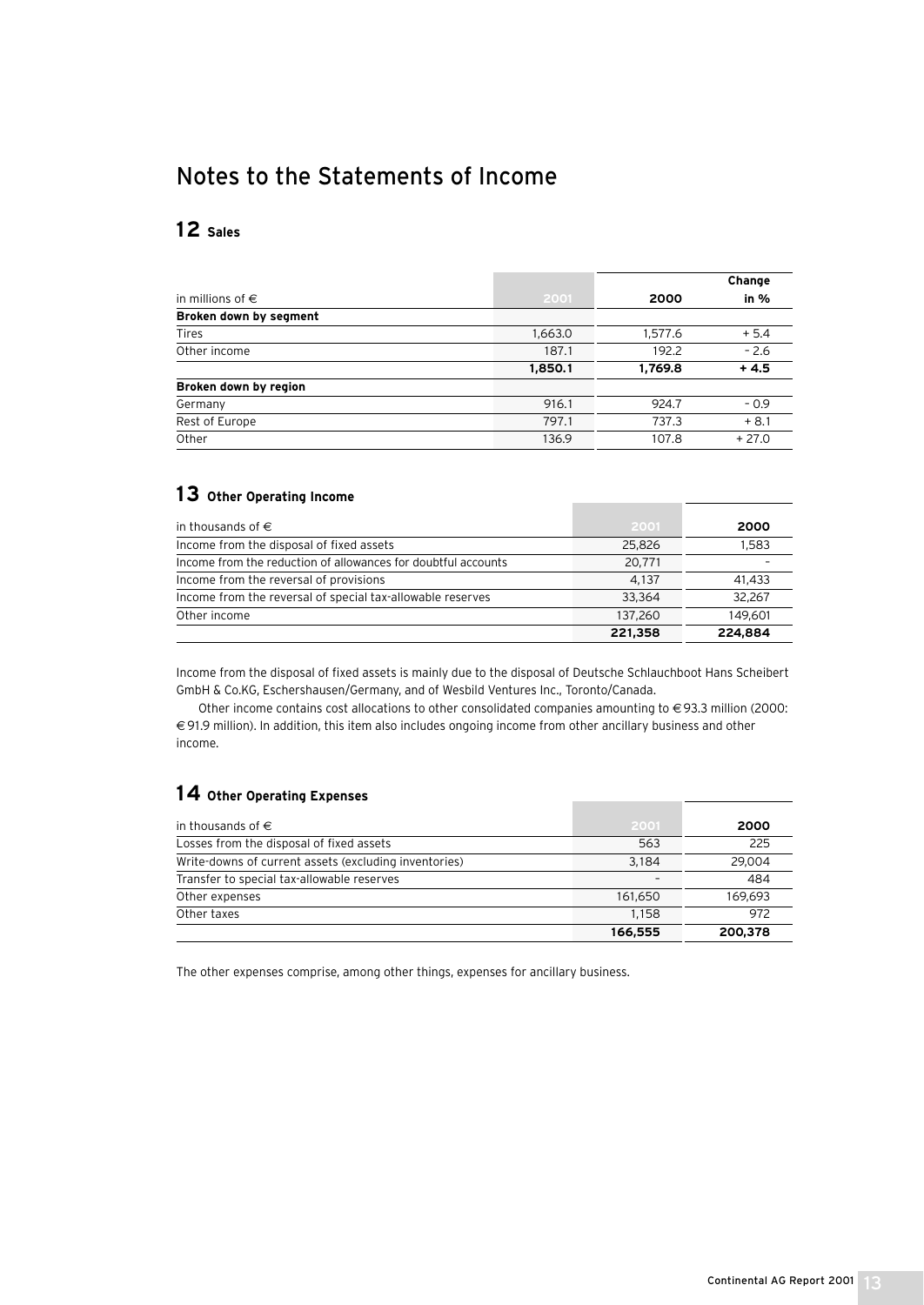## Notes to the Statements of Income

## **12 Sales**

|                           |         |         | Change  |
|---------------------------|---------|---------|---------|
| in millions of $\epsilon$ | 2001    | 2000    | in $%$  |
| Broken down by segment    |         |         |         |
| <b>Tires</b>              | 1,663.0 | 1,577.6 | $+5.4$  |
| Other income              | 187.1   | 192.2   | $-2.6$  |
|                           | 1,850.1 | 1,769.8 | $+4.5$  |
| Broken down by region     |         |         |         |
| Germany                   | 916.1   | 924.7   | $-0.9$  |
| Rest of Europe            | 797.1   | 737.3   | $+8.1$  |
| Other                     | 136.9   | 107.8   | $+27.0$ |

### **13 Other Operating Income**

| in thousands of $\in$                                         | 2001    | 2000    |
|---------------------------------------------------------------|---------|---------|
| Income from the disposal of fixed assets                      | 25,826  | 1.583   |
| Income from the reduction of allowances for doubtful accounts | 20.771  |         |
| Income from the reversal of provisions                        | 4.137   | 41.433  |
| Income from the reversal of special tax-allowable reserves    | 33.364  | 32.267  |
| Other income                                                  | 137.260 | 149.601 |
|                                                               | 221,358 | 224,884 |

Income from the disposal of fixed assets is mainly due to the disposal of Deutsche Schlauchboot Hans Scheibert GmbH & Co.KG, Eschershausen/Germany, and of Wesbild Ventures Inc., Toronto/Canada.

Other income contains cost allocations to other consolidated companies amounting to € 93.3 million (2000: € 91.9 million). In addition, this item also includes ongoing income from other ancillary business and other income.

### **14 Other Operating Expenses**

| in thousands of $\in$                                 | 2001    | 2000    |
|-------------------------------------------------------|---------|---------|
| Losses from the disposal of fixed assets              | 563     | 225     |
| Write-downs of current assets (excluding inventories) | 3.184   | 29.004  |
| Transfer to special tax-allowable reserves            |         | 484     |
| Other expenses                                        | 161.650 | 169.693 |
| Other taxes                                           | 1.158   | 972     |
|                                                       | 166,555 | 200,378 |

The other expenses comprise, among other things, expenses for ancillary business.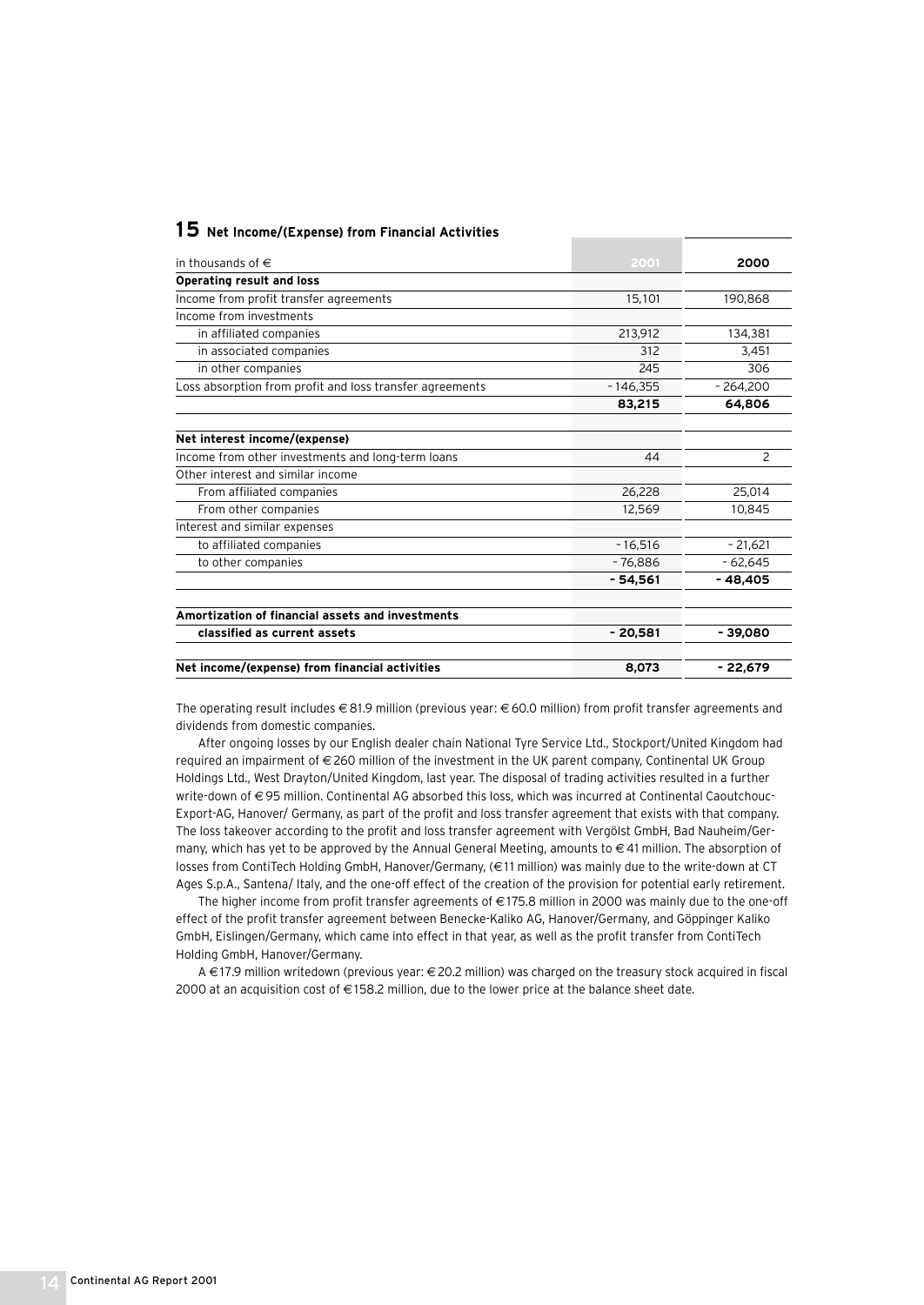### **15 Net Income/(Expense) from Financial Activities**

| in thousands of $\in$                                    | 2001       | 2000          |
|----------------------------------------------------------|------------|---------------|
| <b>Operating result and loss</b>                         |            |               |
| Income from profit transfer agreements                   | 15,101     | 190.868       |
| Income from investments                                  |            |               |
| in affiliated companies                                  | 213,912    | 134.381       |
| in associated companies                                  | 312        | 3.451         |
| in other companies                                       | 245        | 306           |
| Loss absorption from profit and loss transfer agreements | $-146.355$ | $-264.200$    |
|                                                          | 83,215     | 64.806        |
| Net interest income/(expense)                            |            |               |
| Income from other investments and long-term loans        | 44         | $\mathcal{P}$ |
| Other interest and similar income                        |            |               |
| From affiliated companies                                | 26,228     | 25,014        |
| From other companies                                     | 12,569     | 10,845        |
| Interest and similar expenses                            |            |               |
| to affiliated companies                                  | $-16.516$  | $-21,621$     |
| to other companies                                       | $-76.886$  | $-62.645$     |
|                                                          | $-54,561$  | -48,405       |
| Amortization of financial assets and investments         |            |               |
| classified as current assets                             | $-20,581$  | $-39,080$     |
| Net income/(expense) from financial activities           | 8.073      | $-22.679$     |

The operating result includes € 81.9 million (previous year: € 60.0 million) from profit transfer agreements and dividends from domestic companies.

After ongoing losses by our English dealer chain National Tyre Service Ltd., Stockport/United Kingdom had required an impairment of €260 million of the investment in the UK parent company, Continental UK Group Holdings Ltd., West Drayton/United Kingdom, last year. The disposal of trading activities resulted in a further write-down of €95 million. Continental AG absorbed this loss, which was incurred at Continental Caoutchouc-Export-AG, Hanover/ Germany, as part of the profit and loss transfer agreement that exists with that company. The loss takeover according to the profit and loss transfer agreement with Vergölst GmbH, Bad Nauheim/Germany, which has yet to be approved by the Annual General Meeting, amounts to € 41 million. The absorption of losses from ContiTech Holding GmbH, Hanover/Germany, (€ 1 1 million) was mainly due to the write-down at CT Ages S.p.A., Santena/ Italy, and the one-off effect of the creation of the provision for potential early retirement.

The higher income from profit transfer agreements of €175.8 million in 2000 was mainly due to the one-off effect of the profit transfer agreement between Benecke-Kaliko AG, Hanover/Germany, and Göppinger Kaliko GmbH, Eislingen/Germany, which came into effect in that year, as well as the profit transfer from ContiTech Holding GmbH, Hanover/Germany.

A €17.9 million writedown (previous year: €20.2 million) was charged on the treasury stock acquired in fiscal 2000 at an acquisition cost of € 158.2 million, due to the lower price at the balance sheet date.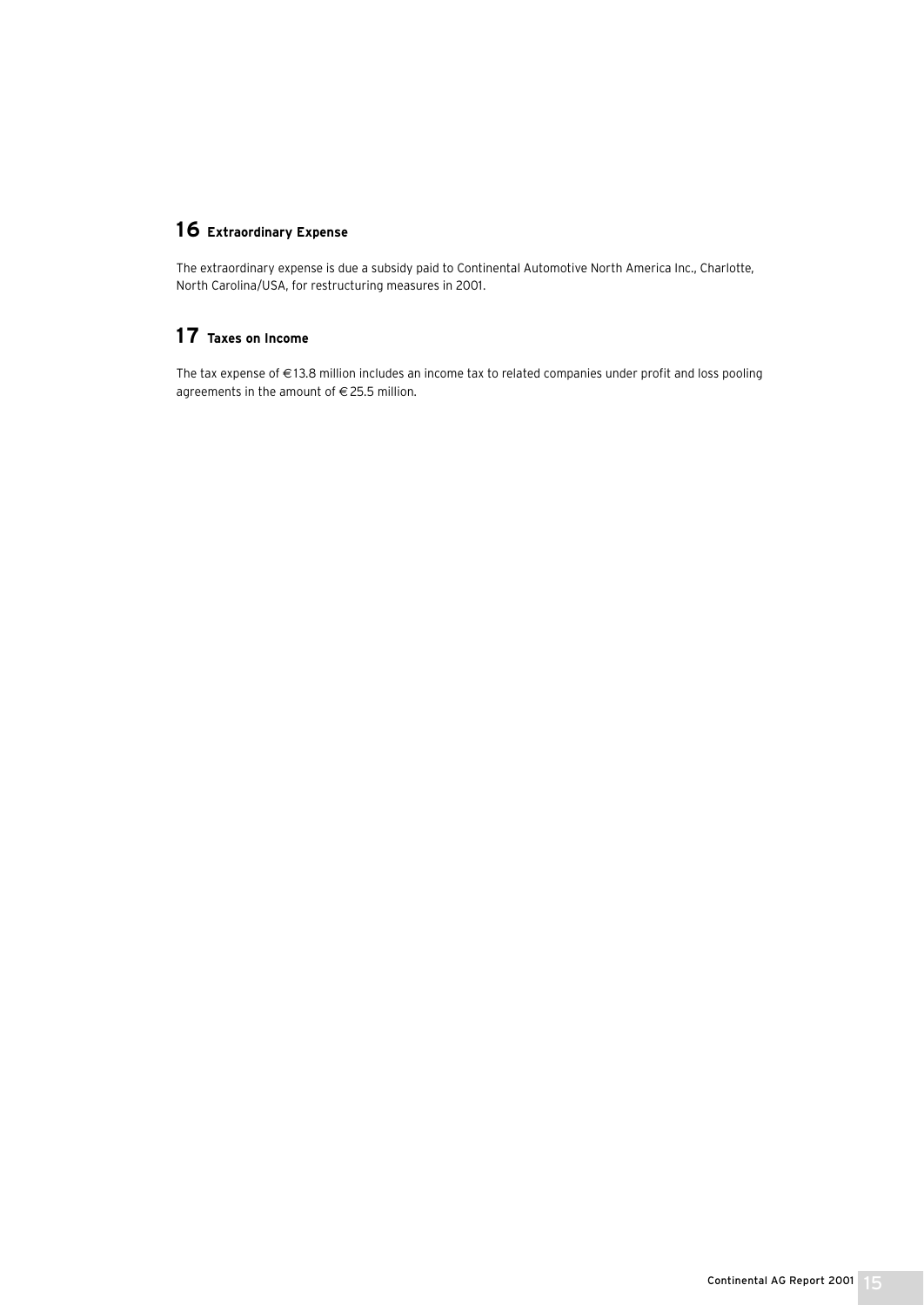## **16 Extraordinary Expense**

The extraordinary expense is due a subsidy paid to Continental Automotive North America Inc., Charlotte, North Carolina/USA, for restructuring measures in 2001.

## **17 Taxes on Income**

The tax expense of € 13.8 million includes an income tax to related companies under profit and loss pooling agreements in the amount of  $\in$  25.5 million.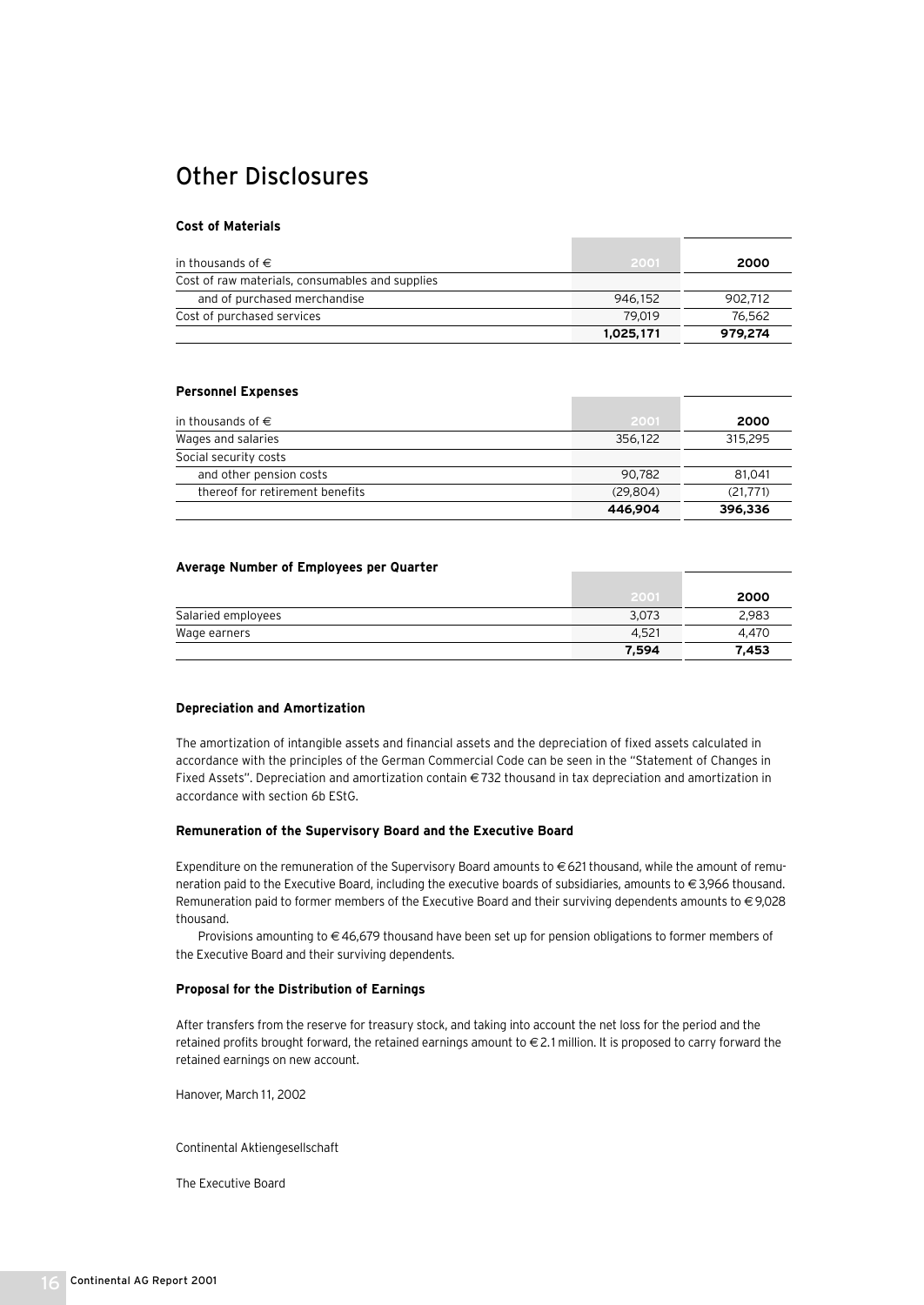## Other Disclosures

#### **Cost of Materials**

| in thousands of $\in$                           | 2001      | 2000    |
|-------------------------------------------------|-----------|---------|
| Cost of raw materials, consumables and supplies |           |         |
| and of purchased merchandise                    | 946.152   | 902.712 |
| Cost of purchased services                      | 79.019    | 76.562  |
|                                                 | 1,025,171 | 979.274 |

#### **Personnel Expenses**

| in thousands of $\in$           | 2001     | 2000      |
|---------------------------------|----------|-----------|
| Wages and salaries              | 356.122  | 315,295   |
| Social security costs           |          |           |
| and other pension costs         | 90.782   | 81.041    |
| thereof for retirement benefits | (29.804) | (21, 771) |
|                                 | 446,904  | 396,336   |

#### **Average Number of Employees per Quarter**

|                    | 2001  | 2000  |
|--------------------|-------|-------|
| Salaried employees | 3,073 | 2,983 |
| Wage earners       | 4.521 | 4.470 |
|                    | 7,594 | 7.453 |

#### **Depreciation and Amortization**

The amortization of intangible assets and financial assets and the depreciation of fixed assets calculated in accordance with the principles of the German Commercial Code can be seen in the "Statement of Changes in Fixed Assets". Depreciation and amortization contain € 732 thousand in tax depreciation and amortization in accordance with section 6b EStG.

#### **Remuneration of the Supervisory Board and the Executive Board**

Expenditure on the remuneration of the Supervisory Board amounts to €621 thousand, while the amount of remuneration paid to the Executive Board, including the executive boards of subsidiaries, amounts to €3,966 thousand. Remuneration paid to former members of the Executive Board and their surviving dependents amounts to €9,028 thousand.

Provisions amounting to €46,679 thousand have been set up for pension obligations to former members of the Executive Board and their surviving dependents.

#### **Proposal for the Distribution of Earnings**

After transfers from the reserve for treasury stock, and taking into account the net loss for the period and the retained profits brought forward, the retained earnings amount to €2.1 million. It is proposed to carry forward the retained earnings on new account.

Hanover, March 11, 2002

Continental Aktiengesellschaft

The Executive Board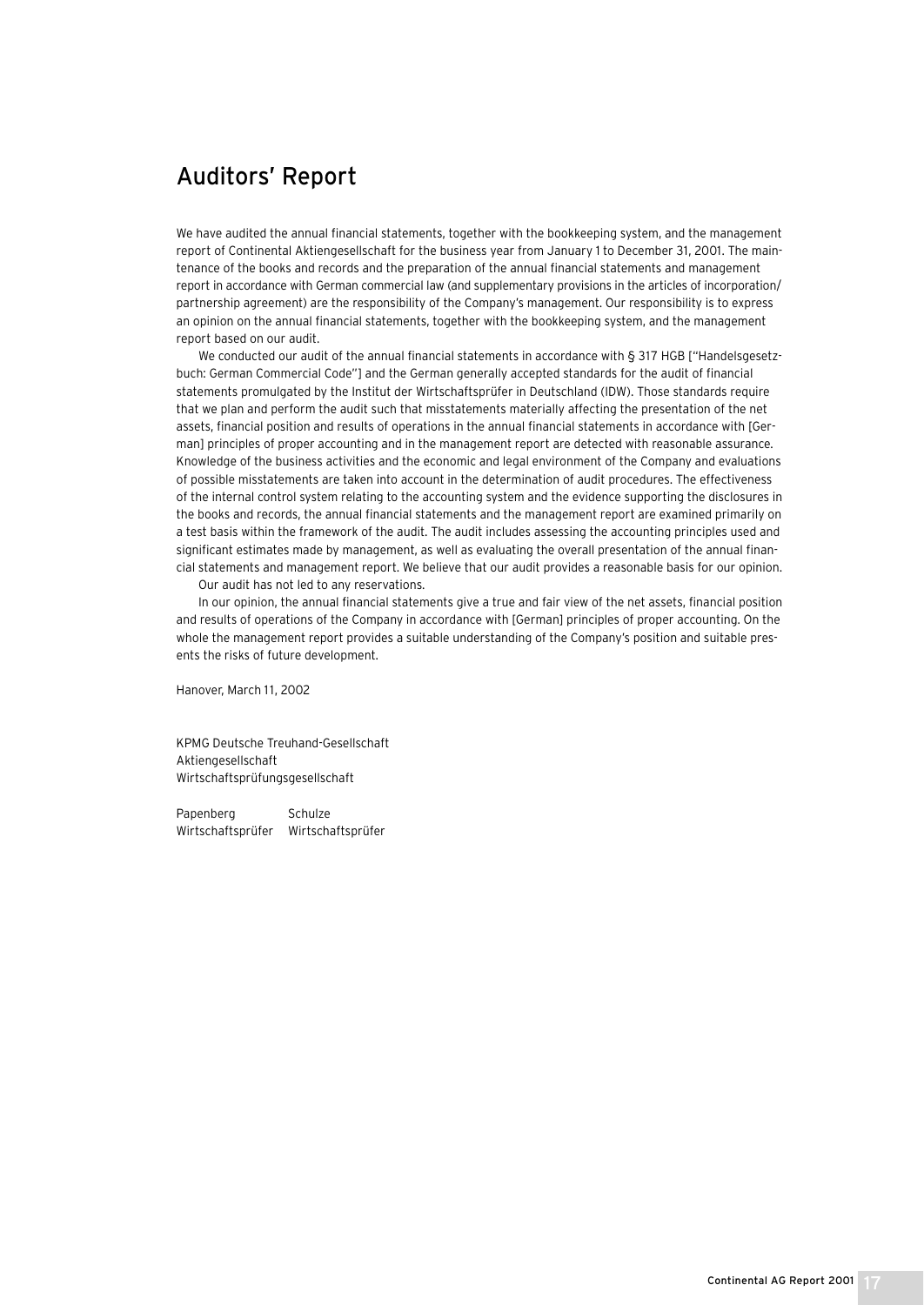## Auditors' Report

We have audited the annual financial statements, together with the bookkeeping system, and the management report of Continental Aktiengesellschaft for the business year from January 1 to December 31, 2001. The maintenance of the books and records and the preparation of the annual financial statements and management report in accordance with German commercial law (and supplementary provisions in the articles of incorporation/ partnership agreement) are the responsibility of the Company's management. Our responsibility is to express an opinion on the annual financial statements, together with the bookkeeping system, and the management report based on our audit.

We conducted our audit of the annual financial statements in accordance with § 317 HGB ["Handelsgesetzbuch: German Commercial Code"] and the German generally accepted standards for the audit of financial statements promulgated by the Institut der Wirtschaftsprüfer in Deutschland (IDW). Those standards require that we plan and perform the audit such that misstatements materially affecting the presentation of the net assets, financial position and results of operations in the annual financial statements in accordance with [German] principles of proper accounting and in the management report are detected with reasonable assurance. Knowledge of the business activities and the economic and legal environment of the Company and evaluations of possible misstatements are taken into account in the determination of audit procedures. The effectiveness of the internal control system relating to the accounting system and the evidence supporting the disclosures in the books and records, the annual financial statements and the management report are examined primarily on a test basis within the framework of the audit. The audit includes assessing the accounting principles used and significant estimates made by management, as well as evaluating the overall presentation of the annual financial statements and management report. We believe that our audit provides a reasonable basis for our opinion.

Our audit has not led to any reservations.

In our opinion, the annual financial statements give a true and fair view of the net assets, financial position and results of operations of the Company in accordance with [German] principles of proper accounting. On the whole the management report provides a suitable understanding of the Company's position and suitable presents the risks of future development.

Hanover, March 11, 2002

KPMG Deutsche Treuhand-Gesellschaft Aktiengesellschaft Wirtschaftsprüfungsgesellschaft

Papenberg Schulze Wirtschaftsprüfer Wirtschaftsprüfer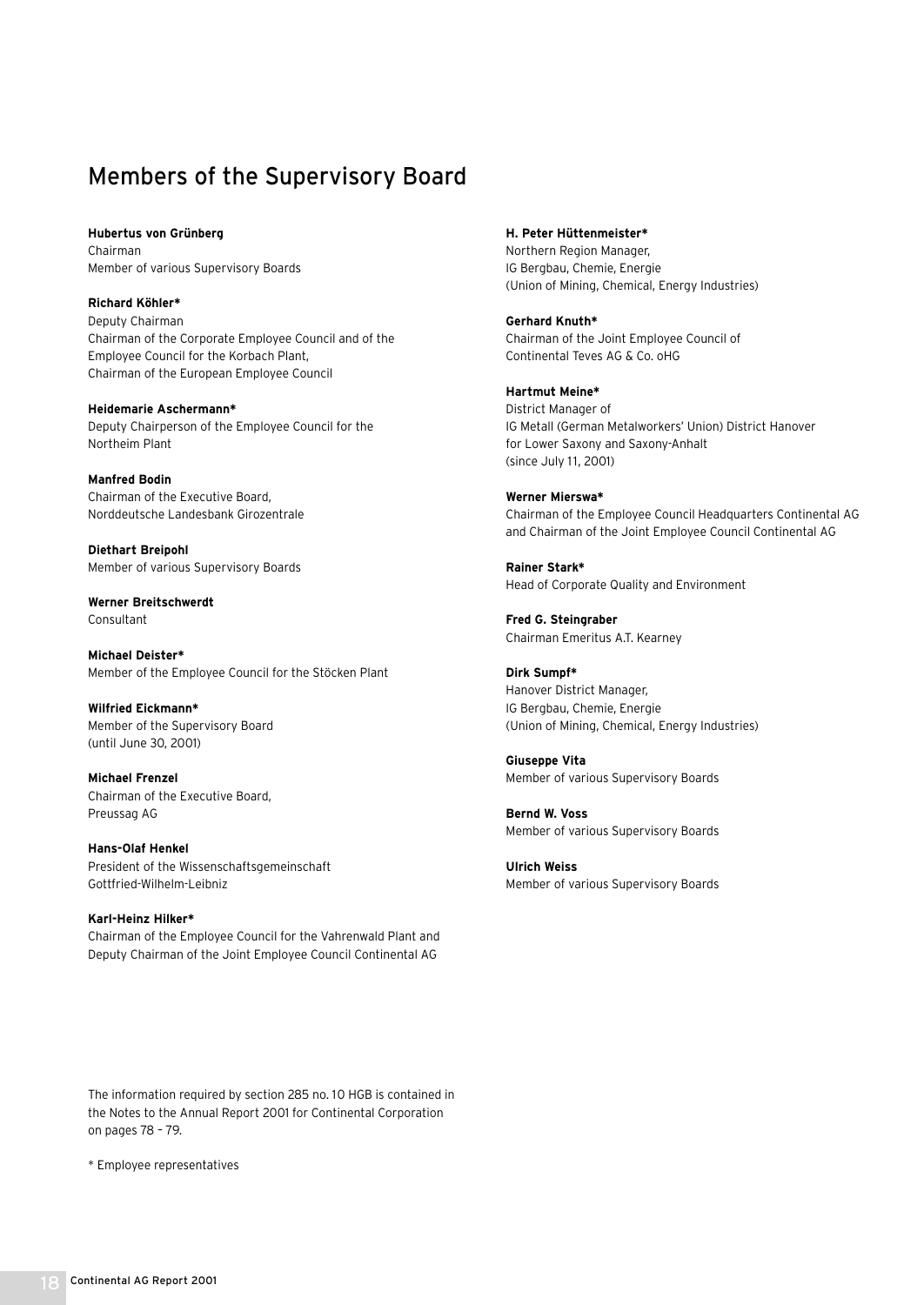## Members of the Supervisory Board

**Hubertus von Grünberg** Chairman Member of various Supervisory Boards

**Richard Köhler\*** Deputy Chairman Chairman of the Corporate Employee Council and of the Employee Council for the Korbach Plant, Chairman of the European Employee Council

**Heidemarie Aschermann\*** Deputy Chairperson of the Employee Council for the Northeim Plant

**Manfred Bodin** Chairman of the Executive Board, Norddeutsche Landesbank Girozentrale

**Diethart Breipohl** Member of various Supervisory Boards

**Werner Breitschwerdt** Consultant

**Michael Deister\*** Member of the Employee Council for the Stöcken Plant

**Wilfried Eickmann\*** Member of the Supervisory Board (until June 30, 2001)

**Michael Frenzel** Chairman of the Executive Board, Preussag AG

**Hans-Olaf Henkel**  President of the Wissenschaftsgemeinschaft Gottfried-Wilhelm-Leibniz

**Karl-Heinz Hilker\*** Chairman of the Employee Council for the Vahrenwald Plant and Deputy Chairman of the Joint Employee Council Continental AG

The information required by section 285 no. 10 HGB is contained in the Notes to the Annual Report 2001 for Continental Corporation on pages 78 – 79.

\* Employee representatives

**H. Peter Hüttenmeister\***

Northern Region Manager, IG Bergbau, Chemie, Energie (Union of Mining, Chemical, Energy Industries)

**Gerhard Knuth\*** Chairman of the Joint Employee Council of Continental Teves AG & Co. oHG

**Hartmut Meine\*** District Manager of IG Metall (German Metalworkers' Union) District Hanover for Lower Saxony and Saxony-Anhalt (since July 11, 2001)

**Werner Mierswa\*** Chairman of the Employee Council Headquarters Continental AG and Chairman of the Joint Employee Council Continental AG

**Rainer Stark\*** Head of Corporate Quality and Environment

**Fred G. Steingraber** Chairman Emeritus A.T. Kearney

**Dirk Sumpf\*** Hanover District Manager, IG Bergbau, Chemie, Energie (Union of Mining, Chemical, Energy Industries)

**Giuseppe Vita** Member of various Supervisory Boards

**Bernd W. Voss** Member of various Supervisory Boards

**Ulrich Weiss** Member of various Supervisory Boards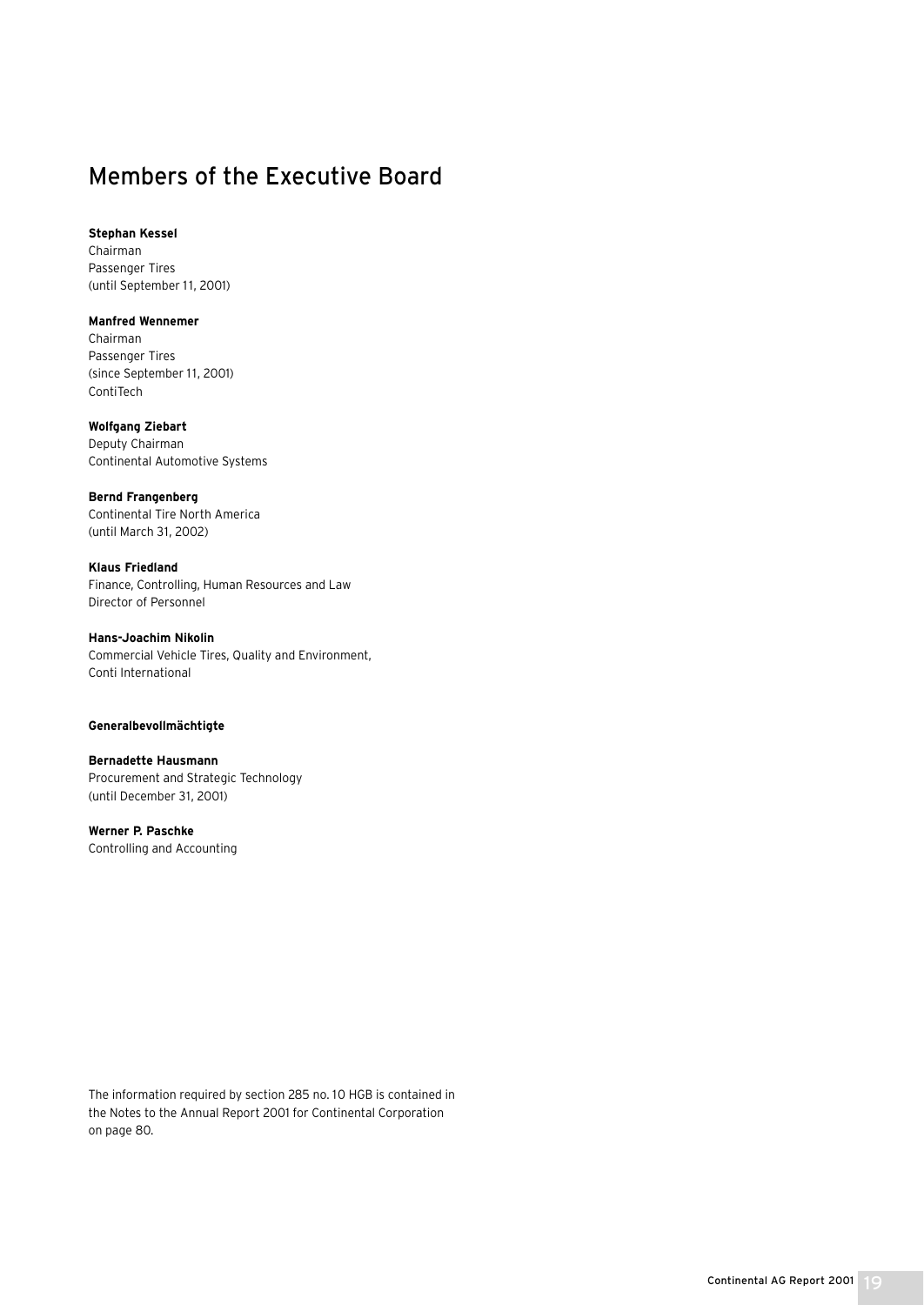## Members of the Executive Board

**Stephan Kessel**

Chairman Passenger Tires (until September 11, 2001)

#### **Manfred Wennemer**

Chairman Passenger Tires (since September 11, 2001) ContiTech

### **Wolfgang Ziebart**

Deputy Chairman Continental Automotive Systems

### **Bernd Frangenberg**

Continental Tire North America (until March 31, 2002)

### **Klaus Friedland** Finance, Controlling, Human Resources and Law Director of Personnel

**Hans-Joachim Nikolin** Commercial Vehicle Tires, Quality and Environment, Conti International

### **Generalbevollmächtigte**

**Bernadette Hausmann** Procurement and Strategic Technology (until December 31, 2001)

**Werner P. Paschke** Controlling and Accounting

The information required by section 285 no. 10 HGB is contained in the Notes to the Annual Report 2001 for Continental Corporation on page 80.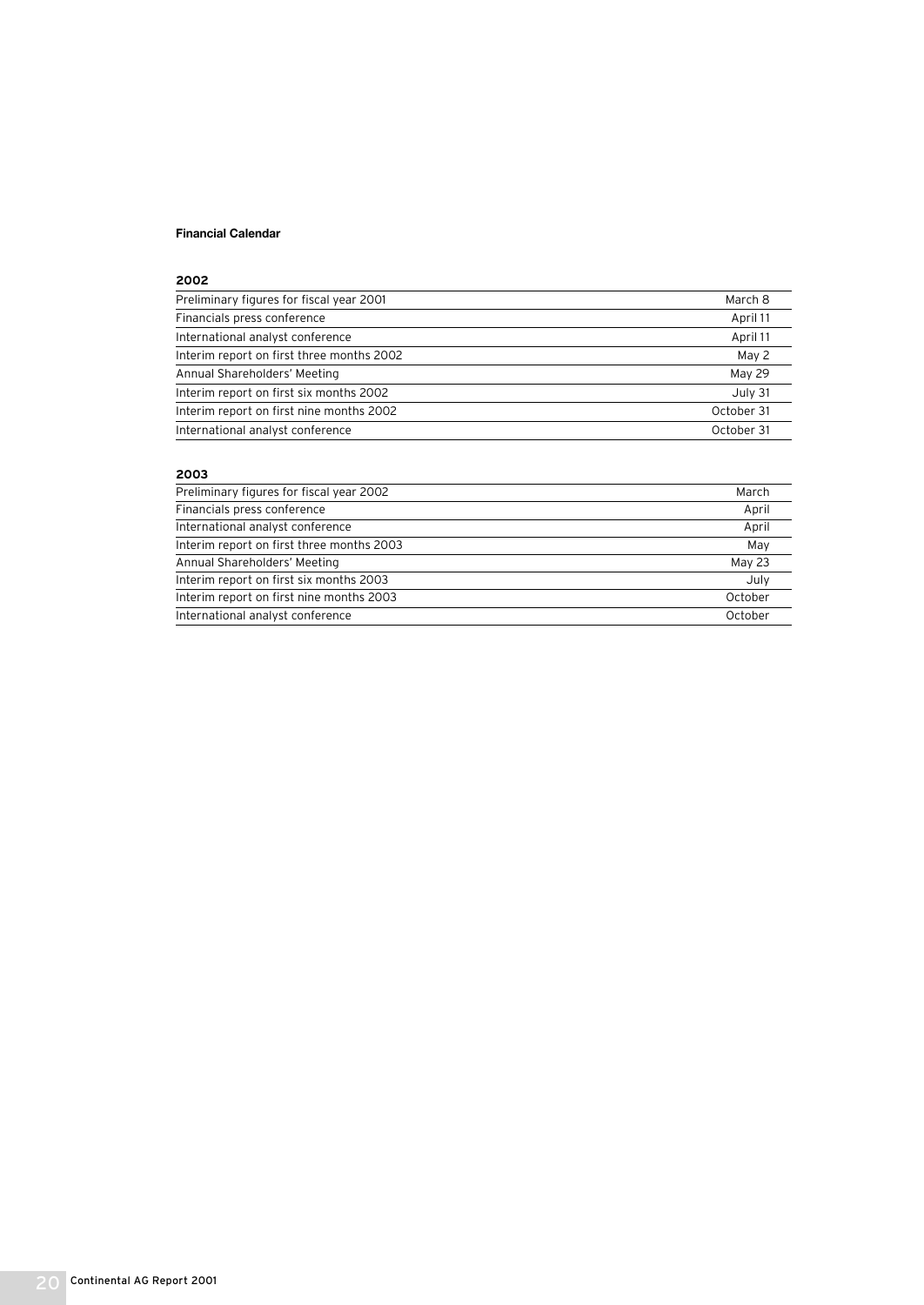### **Financial Calendar**

#### **2002**

| Preliminary figures for fiscal year 2001  | March 8    |
|-------------------------------------------|------------|
| Financials press conference               | April 11   |
| International analyst conference          | April 11   |
| Interim report on first three months 2002 | May 2      |
| Annual Shareholders' Meeting              | May 29     |
| Interim report on first six months 2002   | July 31    |
| Interim report on first nine months 2002  | October 31 |
| International analyst conference          | October 31 |

### **2003**

| Preliminary figures for fiscal year 2002  | March   |
|-------------------------------------------|---------|
| Financials press conference               | April   |
| International analyst conference          | April   |
| Interim report on first three months 2003 | May     |
| Annual Shareholders' Meeting              | May 23  |
| Interim report on first six months 2003   | July    |
| Interim report on first nine months 2003  | October |
| International analyst conference          | October |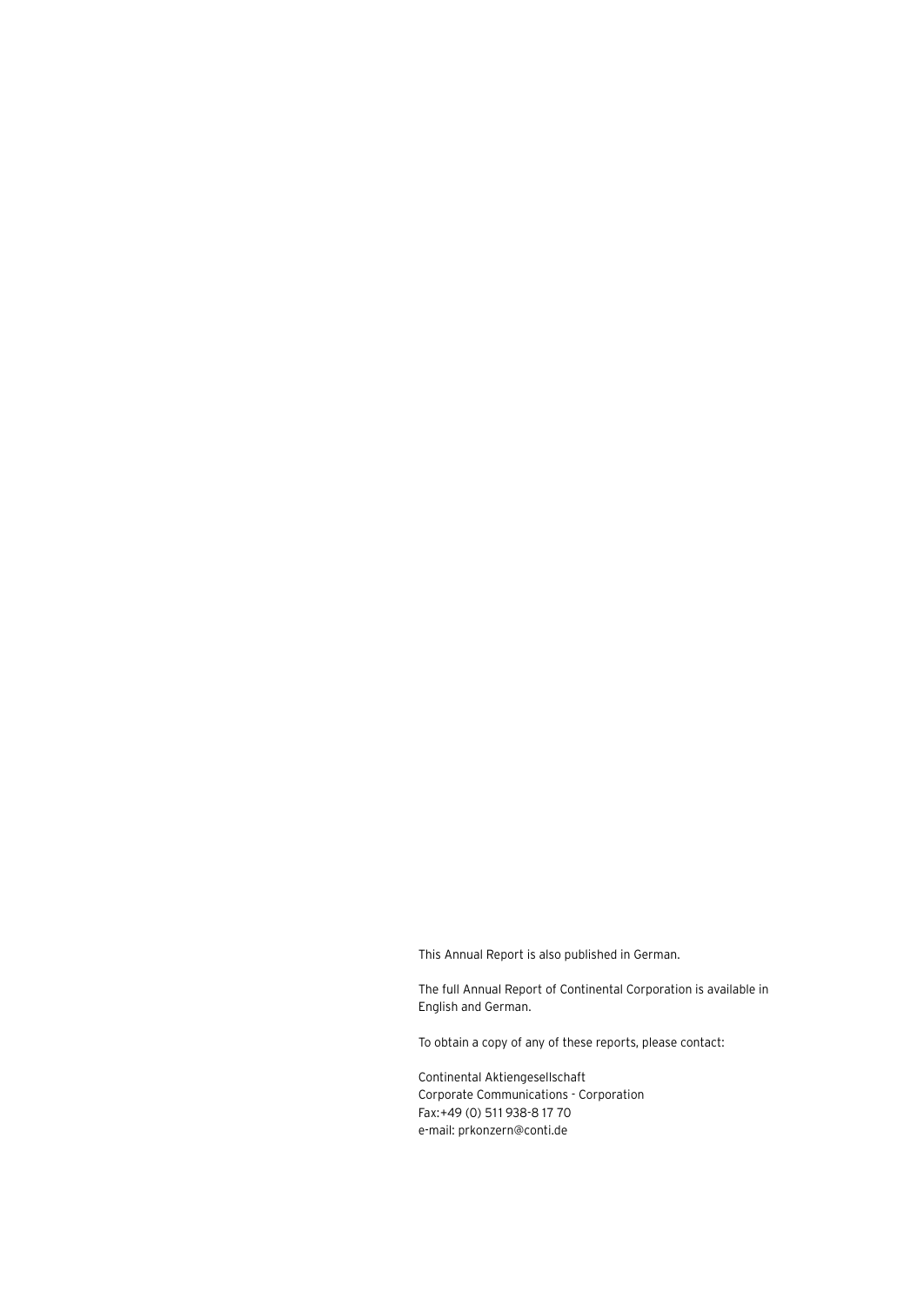This Annual Report is also published in German.

The full Annual Report of Continental Corporation is available in English and German.

To obtain a copy of any of these reports, please contact:

Continental Aktiengesellschaft Corporate Communications - Corporation Fax:+49 (0) 511 938-8 17 70 e-mail: prkonzern@conti.de